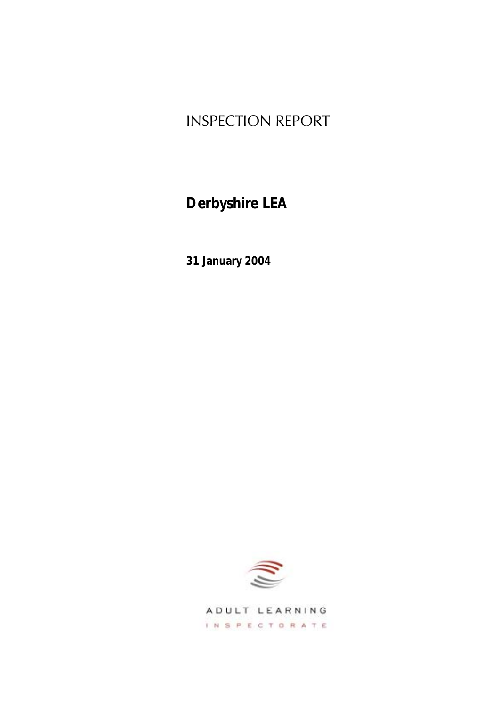# INSPECTION REPORT

# **Derbyshire LEA**

**31 January 2004**



ADULT LEARNING INSPECTORATE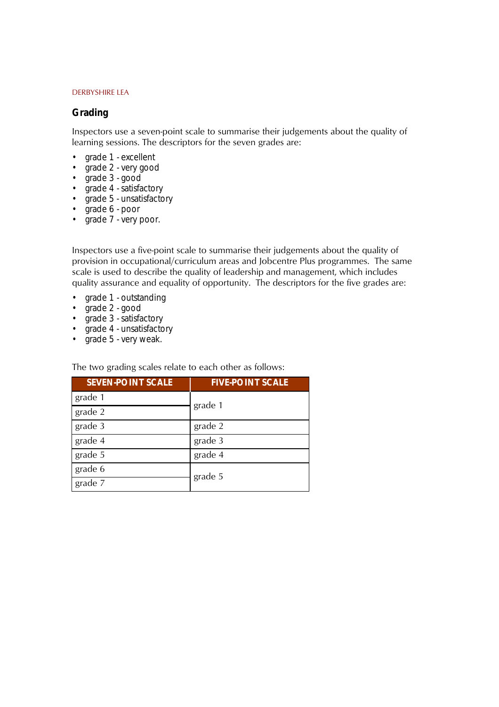### **Grading**

Inspectors use a seven-point scale to summarise their judgements about the quality of learning sessions. The descriptors for the seven grades are:

- *grade 1 excellent*
- *grade 2 very good*
- *grade 3 good*
- *grade 4 satisfactory*
- *grade 5 unsatisfactory*
- *grade 6 poor*
- *grade 7 very poor.*

Inspectors use a five-point scale to summarise their judgements about the quality of provision in occupational/curriculum areas and Jobcentre Plus programmes. The same scale is used to describe the quality of leadership and management, which includes quality assurance and equality of opportunity. The descriptors for the five grades are:

- *grade 1 outstanding*
- *grade 2 good*
- *grade 3 satisfactory*
- *grade 4 unsatisfactory*
- *grade 5 very weak.*

The two grading scales relate to each other as follows:

| <b>SEVEN-POINT SCALE</b> | <b>FIVE-POINT SCALE</b> |
|--------------------------|-------------------------|
| grade 1                  | grade 1                 |
| grade 2                  |                         |
| grade 3                  | grade 2                 |
| grade 4                  | grade 3                 |
| grade 5                  | grade 4                 |
| grade 6                  | grade 5                 |
| grade 7                  |                         |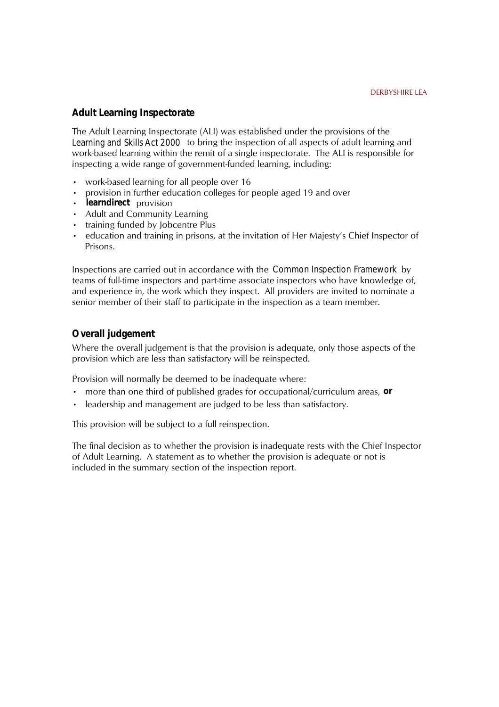### **Adult Learning Inspectorate**

The Adult Learning Inspectorate (ALI) was established under the provisions of the *Learning and Skills Act 2000* to bring the inspection of all aspects of adult learning and work-based learning within the remit of a single inspectorate. The ALI is responsible for inspecting a wide range of government-funded learning, including:

- work-based learning for all people over 16
- provision in further education colleges for people aged 19 and over
- learndirect provision
- Adult and Community Learning
- training funded by Jobcentre Plus
- education and training in prisons, at the invitation of Her Majesty's Chief Inspector of Prisons.

Inspections are carried out in accordance with the *Common Inspection Framework* by teams of full-time inspectors and part-time associate inspectors who have knowledge of, and experience in, the work which they inspect. All providers are invited to nominate a senior member of their staff to participate in the inspection as a team member.

### **Overall judgement**

Where the overall judgement is that the provision is adequate, only those aspects of the provision which are less than satisfactory will be reinspected.

Provision will normally be deemed to be inadequate where:

- more than one third of published grades for occupational/curriculum areas, or
- leadership and management are judged to be less than satisfactory.

This provision will be subject to a full reinspection.

The final decision as to whether the provision is inadequate rests with the Chief Inspector of Adult Learning. A statement as to whether the provision is adequate or not is included in the summary section of the inspection report.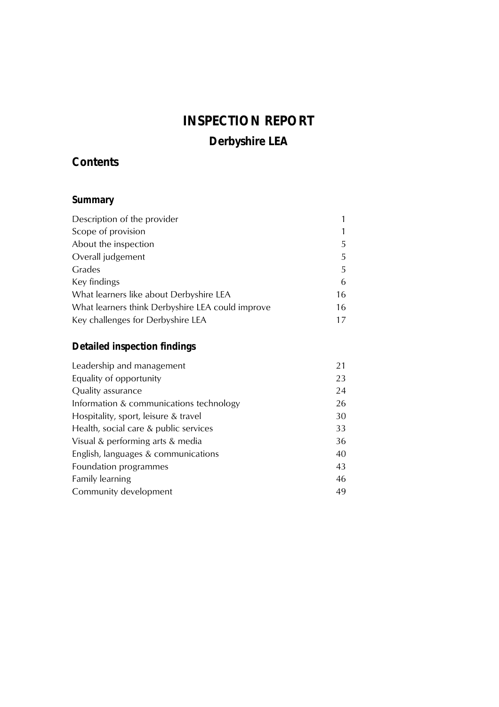# **INSPECTION REPORT Derbyshire LEA**

# **Contents**

## Summary

| Description of the provider                      |    |
|--------------------------------------------------|----|
| Scope of provision                               |    |
| About the inspection                             | 5  |
| Overall judgement                                | 5  |
| Grades                                           | 5  |
| Key findings                                     | 6  |
| What learners like about Derbyshire LEA          | 16 |
| What learners think Derbyshire LEA could improve | 16 |
| Key challenges for Derbyshire LEA                | 17 |

# **Detailed inspection findings**

| Leadership and management               | 21 |
|-----------------------------------------|----|
| Equality of opportunity                 | 23 |
| Quality assurance                       | 24 |
| Information & communications technology | 26 |
| Hospitality, sport, leisure & travel    | 30 |
| Health, social care & public services   | 33 |
| Visual & performing arts & media        | 36 |
| English, languages & communications     | 40 |
| Foundation programmes                   | 43 |
| <b>Family learning</b>                  | 46 |
| Community development                   | 49 |
|                                         |    |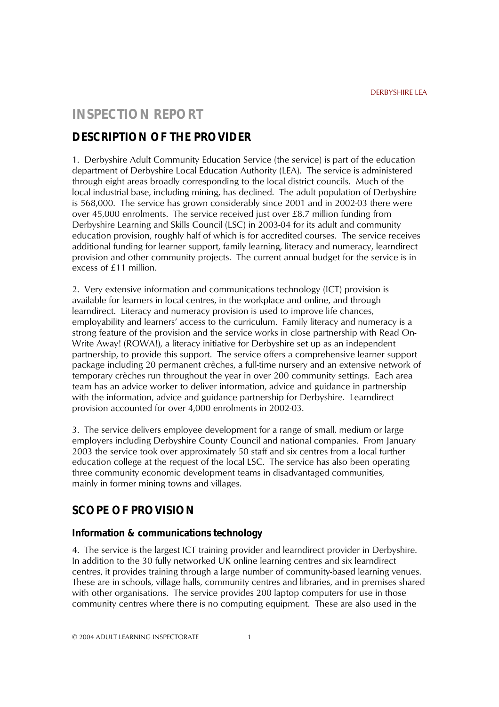### **INSPECTION REPORT**

### **DESCRIPTION OF THE PROVIDER**

1. Derbyshire Adult Community Education Service (the service) is part of the education department of Derbyshire Local Education Authority (LEA). The service is administered through eight areas broadly corresponding to the local district councils. Much of the local industrial base, including mining, has declined. The adult population of Derbyshire is 568,000. The service has grown considerably since 2001 and in 2002-03 there were over 45,000 enrolments. The service received just over £8.7 million funding from Derbyshire Learning and Skills Council (LSC) in 2003-04 for its adult and community education provision, roughly half of which is for accredited courses. The service receives additional funding for learner support, family learning, literacy and numeracy, learndirect provision and other community projects. The current annual budget for the service is in excess of £11 million.

2. Very extensive information and communications technology (ICT) provision is available for learners in local centres, in the workplace and online, and through learndirect. Literacy and numeracy provision is used to improve life chances, employability and learners' access to the curriculum. Family literacy and numeracy is a strong feature of the provision and the service works in close partnership with Read On-Write Away! (ROWA!), a literacy initiative for Derbyshire set up as an independent partnership, to provide this support. The service offers a comprehensive learner support package including 20 permanent crèches, a full-time nursery and an extensive network of temporary crèches run throughout the year in over 200 community settings. Each area team has an advice worker to deliver information, advice and guidance in partnership with the information, advice and guidance partnership for Derbyshire. Learndirect provision accounted for over 4,000 enrolments in 2002-03.

3. The service delivers employee development for a range of small, medium or large employers including Derbyshire County Council and national companies. From January 2003 the service took over approximately 50 staff and six centres from a local further education college at the request of the local LSC. The service has also been operating three community economic development teams in disadvantaged communities, mainly in former mining towns and villages.

### **SCOPE OF PROVISION**

### **Information & communications technology**

4. The service is the largest ICT training provider and learndirect provider in Derbyshire. In addition to the 30 fully networked UK online learning centres and six learndirect centres, it provides training through a large number of community-based learning venues. These are in schools, village halls, community centres and libraries, and in premises shared with other organisations. The service provides 200 laptop computers for use in those community centres where there is no computing equipment. These are also used in the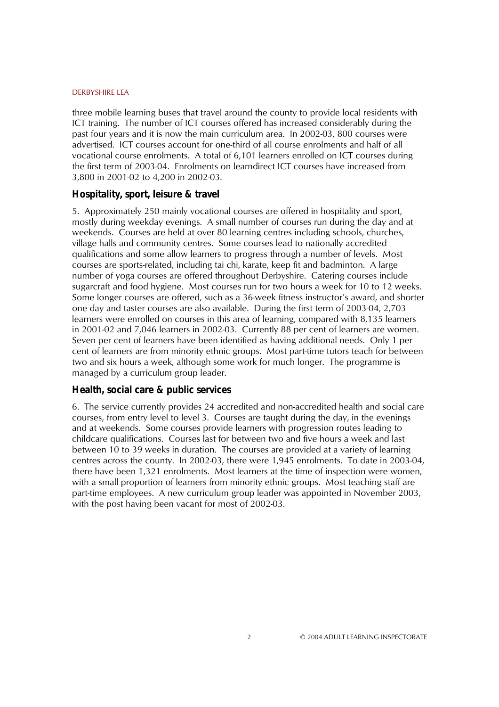three mobile learning buses that travel around the county to provide local residents with ICT training. The number of ICT courses offered has increased considerably during the past four years and it is now the main curriculum area. In 2002-03, 800 courses were advertised. ICT courses account for one-third of all course enrolments and half of all vocational course enrolments. A total of 6,101 learners enrolled on ICT courses during the first term of 2003-04. Enrolments on learndirect ICT courses have increased from 3,800 in 2001-02 to 4,200 in 2002-03.

### **Hospitality, sport, leisure & travel**

5. Approximately 250 mainly vocational courses are offered in hospitality and sport, mostly during weekday evenings. A small number of courses run during the day and at weekends. Courses are held at over 80 learning centres including schools, churches, village halls and community centres. Some courses lead to nationally accredited qualifications and some allow learners to progress through a number of levels. Most courses are sports-related, including tai chi, karate, keep fit and badminton. A large number of yoga courses are offered throughout Derbyshire. Catering courses include sugarcraft and food hygiene. Most courses run for two hours a week for 10 to 12 weeks. Some longer courses are offered, such as a 36-week fitness instructor's award, and shorter one day and taster courses are also available. During the first term of 2003-04, 2,703 learners were enrolled on courses in this area of learning, compared with 8,135 learners in 2001-02 and 7,046 learners in 2002-03. Currently 88 per cent of learners are women. Seven per cent of learners have been identified as having additional needs. Only 1 per cent of learners are from minority ethnic groups. Most part-time tutors teach for between two and six hours a week, although some work for much longer. The programme is managed by a curriculum group leader.

### **Health, social care & public services**

6. The service currently provides 24 accredited and non-accredited health and social care courses, from entry level to level 3. Courses are taught during the day, in the evenings and at weekends. Some courses provide learners with progression routes leading to childcare qualifications. Courses last for between two and five hours a week and last between 10 to 39 weeks in duration. The courses are provided at a variety of learning centres across the county. In 2002-03, there were 1,945 enrolments. To date in 2003-04, there have been 1,321 enrolments. Most learners at the time of inspection were women, with a small proportion of learners from minority ethnic groups. Most teaching staff are part-time employees. A new curriculum group leader was appointed in November 2003, with the post having been vacant for most of 2002-03.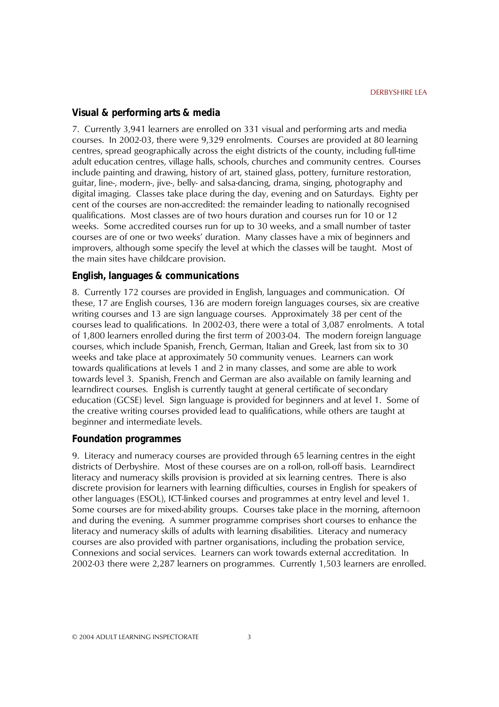### **Visual & performing arts & media**

7. Currently 3,941 learners are enrolled on 331 visual and performing arts and media courses. In 2002-03, there were 9,329 enrolments. Courses are provided at 80 learning centres, spread geographically across the eight districts of the county, including full-time adult education centres, village halls, schools, churches and community centres. Courses include painting and drawing, history of art, stained glass, pottery, furniture restoration, guitar, line-, modern-, jive-, belly- and salsa-dancing, drama, singing, photography and digital imaging. Classes take place during the day, evening and on Saturdays. Eighty per cent of the courses are non-accredited: the remainder leading to nationally recognised qualifications. Most classes are of two hours duration and courses run for 10 or 12 weeks. Some accredited courses run for up to 30 weeks, and a small number of taster courses are of one or two weeksí duration. Many classes have a mix of beginners and improvers, although some specify the level at which the classes will be taught. Most of the main sites have childcare provision.

#### **English, languages & communications**

8. Currently 172 courses are provided in English, languages and communication. Of these, 17 are English courses, 136 are modern foreign languages courses, six are creative writing courses and 13 are sign language courses. Approximately 38 per cent of the courses lead to qualifications. In 2002-03, there were a total of 3,087 enrolments. A total of 1,800 learners enrolled during the first term of 2003-04. The modern foreign language courses, which include Spanish, French, German, Italian and Greek, last from six to 30 weeks and take place at approximately 50 community venues. Learners can work towards qualifications at levels 1 and 2 in many classes, and some are able to work towards level 3. Spanish, French and German are also available on family learning and learndirect courses. English is currently taught at general certificate of secondary education (GCSE) level. Sign language is provided for beginners and at level 1. Some of the creative writing courses provided lead to qualifications, while others are taught at beginner and intermediate levels.

#### **Foundation programmes**

9. Literacy and numeracy courses are provided through 65 learning centres in the eight districts of Derbyshire. Most of these courses are on a roll-on, roll-off basis. Learndirect literacy and numeracy skills provision is provided at six learning centres. There is also discrete provision for learners with learning difficulties, courses in English for speakers of other languages (ESOL), ICT-linked courses and programmes at entry level and level 1. Some courses are for mixed-ability groups. Courses take place in the morning, afternoon and during the evening. A summer programme comprises short courses to enhance the literacy and numeracy skills of adults with learning disabilities. Literacy and numeracy courses are also provided with partner organisations, including the probation service, Connexions and social services. Learners can work towards external accreditation. In 2002-03 there were 2,287 learners on programmes. Currently 1,503 learners are enrolled.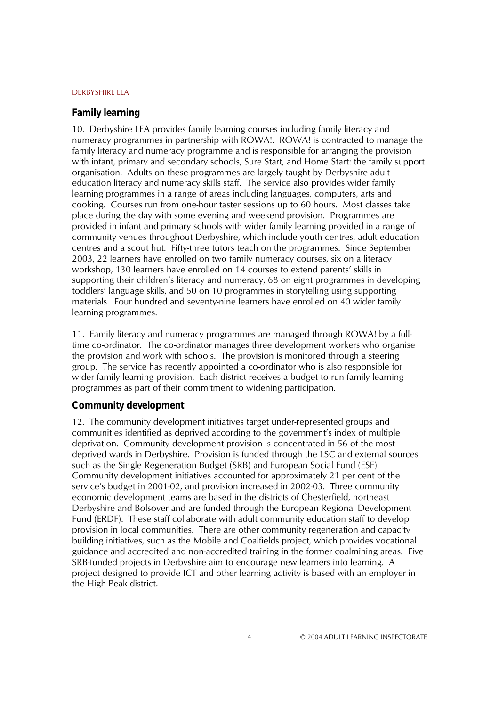#### **Family learning**

10. Derbyshire LEA provides family learning courses including family literacy and numeracy programmes in partnership with ROWA!. ROWA! is contracted to manage the family literacy and numeracy programme and is responsible for arranging the provision with infant, primary and secondary schools, Sure Start, and Home Start: the family support organisation. Adults on these programmes are largely taught by Derbyshire adult education literacy and numeracy skills staff. The service also provides wider family learning programmes in a range of areas including languages, computers, arts and cooking. Courses run from one-hour taster sessions up to 60 hours. Most classes take place during the day with some evening and weekend provision. Programmes are provided in infant and primary schools with wider family learning provided in a range of community venues throughout Derbyshire, which include youth centres, adult education centres and a scout hut. Fifty-three tutors teach on the programmes. Since September 2003, 22 learners have enrolled on two family numeracy courses, six on a literacy workshop, 130 learners have enrolled on 14 courses to extend parents' skills in supporting their children's literacy and numeracy, 68 on eight programmes in developing toddlersí language skills, and 50 on 10 programmes in storytelling using supporting materials. Four hundred and seventy-nine learners have enrolled on 40 wider family learning programmes.

11. Family literacy and numeracy programmes are managed through ROWA! by a fulltime co-ordinator. The co-ordinator manages three development workers who organise the provision and work with schools. The provision is monitored through a steering group. The service has recently appointed a co-ordinator who is also responsible for wider family learning provision. Each district receives a budget to run family learning programmes as part of their commitment to widening participation.

#### **Community development**

12. The community development initiatives target under-represented groups and communities identified as deprived according to the government's index of multiple deprivation. Community development provision is concentrated in 56 of the most deprived wards in Derbyshire. Provision is funded through the LSC and external sources such as the Single Regeneration Budget (SRB) and European Social Fund (ESF). Community development initiatives accounted for approximately 21 per cent of the service's budget in 2001-02, and provision increased in 2002-03. Three community economic development teams are based in the districts of Chesterfield, northeast Derbyshire and Bolsover and are funded through the European Regional Development Fund (ERDF). These staff collaborate with adult community education staff to develop provision in local communities. There are other community regeneration and capacity building initiatives, such as the Mobile and Coalfields project, which provides vocational guidance and accredited and non-accredited training in the former coalmining areas. Five SRB-funded projects in Derbyshire aim to encourage new learners into learning. A project designed to provide ICT and other learning activity is based with an employer in the High Peak district.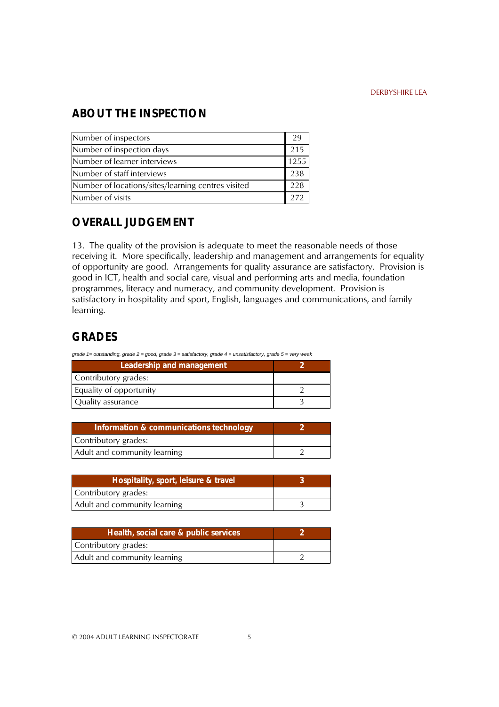## **ABOUT THE INSPECTION**

| Number of inspectors                               |      |
|----------------------------------------------------|------|
| Number of inspection days                          | 215  |
| Number of learner interviews                       | 1255 |
| Number of staff interviews                         | 238  |
| Number of locations/sites/learning centres visited | 228  |
| Number of visits                                   | 272  |

### **OVERALL JUDGEMENT**

13. The quality of the provision is adequate to meet the reasonable needs of those receiving it. More specifically, leadership and management and arrangements for equality of opportunity are good. Arrangements for quality assurance are satisfactory. Provision is good in ICT, health and social care, visual and performing arts and media, foundation programmes, literacy and numeracy, and community development. Provision is satisfactory in hospitality and sport, English, languages and communications, and family learning.

## **GRADES**

| grade 1= outstanding, grade 2 = good, grade 3 = satisfactory, grade 4 = unsatisfactory, grade 5 = very weak |  |
|-------------------------------------------------------------------------------------------------------------|--|
| Leadership and management                                                                                   |  |
| Contributory grades:                                                                                        |  |
| Equality of opportunity                                                                                     |  |
| Ouality assurance                                                                                           |  |

| Information & communications technology |  |
|-----------------------------------------|--|
| Contributory grades:                    |  |
| Adult and community learning            |  |

| Hospitality, sport, leisure & travel |  |
|--------------------------------------|--|
| Contributory grades:                 |  |
| Adult and community learning         |  |

| Health, social care & public services |  |
|---------------------------------------|--|
| Contributory grades:                  |  |
| Adult and community learning          |  |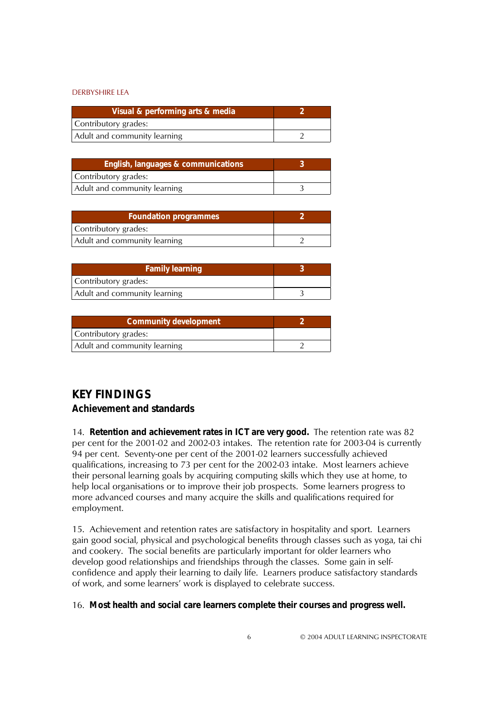| Visual & performing arts & media |  |
|----------------------------------|--|
| Contributory grades:             |  |
| Adult and community learning     |  |

| English, languages & communications |  |
|-------------------------------------|--|
| Contributory grades:                |  |
| Adult and community learning        |  |

| <b>Foundation programmes</b> |  |
|------------------------------|--|
| Contributory grades:         |  |
| Adult and community learning |  |

| <b>Family learning</b>       |  |
|------------------------------|--|
| Contributory grades:         |  |
| Adult and community learning |  |

| <b>Community development</b> |  |
|------------------------------|--|
| Contributory grades:         |  |
| Adult and community learning |  |

## **KEY FINDINGS**

### **Achievement and standards**

14. **Retention and achievement rates in ICT are very good.** The retention rate was 82 per cent for the 2001-02 and 2002-03 intakes. The retention rate for 2003-04 is currently 94 per cent. Seventy-one per cent of the 2001-02 learners successfully achieved qualifications, increasing to 73 per cent for the 2002-03 intake. Most learners achieve their personal learning goals by acquiring computing skills which they use at home, to help local organisations or to improve their job prospects. Some learners progress to more advanced courses and many acquire the skills and qualifications required for employment.

15. Achievement and retention rates are satisfactory in hospitality and sport. Learners gain good social, physical and psychological benefits through classes such as yoga, tai chi and cookery. The social benefits are particularly important for older learners who develop good relationships and friendships through the classes. Some gain in selfconfidence and apply their learning to daily life. Learners produce satisfactory standards of work, and some learners' work is displayed to celebrate success.

#### 16. **Most health and social care learners complete their courses and progress well.**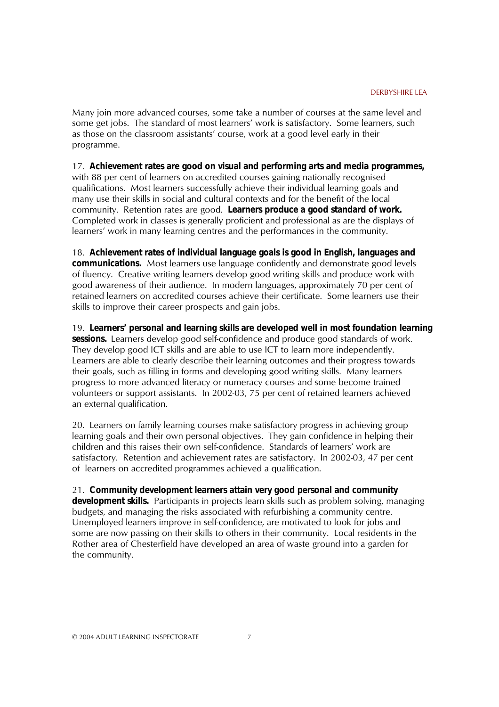Many join more advanced courses, some take a number of courses at the same level and some get jobs. The standard of most learners' work is satisfactory. Some learners, such as those on the classroom assistants' course, work at a good level early in their programme.

17. **Achievement rates are good on visual and performing arts and media programmes,**  with 88 per cent of learners on accredited courses gaining nationally recognised qualifications. Most learners successfully achieve their individual learning goals and many use their skills in social and cultural contexts and for the benefit of the local community. Retention rates are good. **Learners produce a good standard of work.**  Completed work in classes is generally proficient and professional as are the displays of learnersí work in many learning centres and the performances in the community.

18. **Achievement rates of individual language goals is good in English, languages and communications.** Most learners use language confidently and demonstrate good levels of fluency. Creative writing learners develop good writing skills and produce work with good awareness of their audience. In modern languages, approximately 70 per cent of retained learners on accredited courses achieve their certificate. Some learners use their skills to improve their career prospects and gain jobs.

19. **Learners' personal and learning skills are developed well in most foundation learning sessions.** Learners develop good self-confidence and produce good standards of work. They develop good ICT skills and are able to use ICT to learn more independently. Learners are able to clearly describe their learning outcomes and their progress towards their goals, such as filling in forms and developing good writing skills. Many learners progress to more advanced literacy or numeracy courses and some become trained volunteers or support assistants. In 2002-03, 75 per cent of retained learners achieved an external qualification.

20. Learners on family learning courses make satisfactory progress in achieving group learning goals and their own personal objectives. They gain confidence in helping their children and this raises their own self-confidence. Standards of learners' work are satisfactory. Retention and achievement rates are satisfactory. In 2002-03, 47 per cent of learners on accredited programmes achieved a qualification.

21. **Community development learners attain very good personal and community development skills.** Participants in projects learn skills such as problem solving, managing budgets, and managing the risks associated with refurbishing a community centre. Unemployed learners improve in self-confidence, are motivated to look for jobs and some are now passing on their skills to others in their community. Local residents in the Rother area of Chesterfield have developed an area of waste ground into a garden for the community.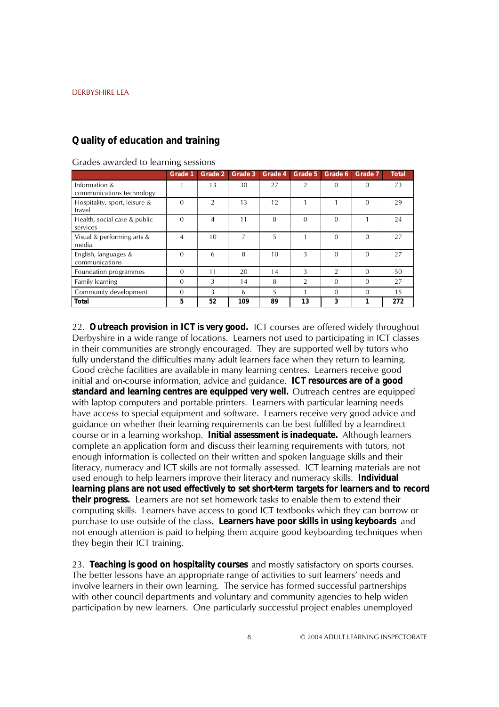### **Quality of education and training**

|                                            | Grade 1  | Grade 2        | Grade 3 | Grade 4 | Grade 5        | Grade 6        | Grade 7  | <b>Total</b> |
|--------------------------------------------|----------|----------------|---------|---------|----------------|----------------|----------|--------------|
| Information &<br>communications technology |          | 13             | 30      | 27      | $\overline{2}$ | $\Omega$       | $\Omega$ | 73           |
| Hospitality, sport, leisure &<br>travel    | $\Omega$ | $\overline{2}$ | 13      | 12      |                |                | $\Omega$ | 29           |
| Health, social care & public<br>services   | $\Omega$ | 4              | 11      | 8       | $\Omega$       | $\Omega$       |          | 24           |
| Visual & performing arts &<br>media        | 4        | 10             | 7       | 5       |                | $\Omega$       | $\Omega$ | 27           |
| English, languages &<br>communications     | $\Omega$ | 6              | 8       | 10      | 3              | $\Omega$       | $\Omega$ | 27           |
| Foundation programmes                      | $\Omega$ | 11             | 20      | 14      | 3              | $\mathfrak{D}$ | $\Omega$ | 50           |
| Family learning                            | $\Omega$ | 3              | 14      | 8       | $\mathfrak{D}$ | $\Omega$       | $\Omega$ | 27           |
| Community development                      | 0        | 3              | 6       | 5       |                | $\Omega$       | $\Omega$ | 15           |
| <b>Total</b>                               | 5        | 52             | 109     | 89      | 13             | 3              |          | 272          |

#### Grades awarded to learning sessions

22. **Outreach provision in ICT is very good.** ICT courses are offered widely throughout Derbyshire in a wide range of locations. Learners not used to participating in ICT classes in their communities are strongly encouraged. They are supported well by tutors who fully understand the difficulties many adult learners face when they return to learning. Good crèche facilities are available in many learning centres. Learners receive good initial and on-course information, advice and guidance. **ICT resources are of a good standard and learning centres are equipped very well.** Outreach centres are equipped with laptop computers and portable printers. Learners with particular learning needs have access to special equipment and software. Learners receive very good advice and guidance on whether their learning requirements can be best fulfilled by a learndirect course or in a learning workshop. **Initial assessment is inadequate .** Although learners complete an application form and discuss their learning requirements with tutors, not enough information is collected on their written and spoken language skills and their literacy, numeracy and ICT skills are not formally assessed. ICT learning materials are not used enough to help learners improve their literacy and numeracy skills. **Individual learning plans are not used effectively to set short-term targets for learners and to record their progress.** Learners are not set homework tasks to enable them to extend their computing skills. Learners have access to good ICT textbooks which they can borrow or purchase to use outside of the class. **Learners have poor skills in using keyboards** and not enough attention is paid to helping them acquire good keyboarding techniques when they begin their ICT training.

23. **Teaching is good on hospitality courses** and mostly satisfactory on sports courses. The better lessons have an appropriate range of activities to suit learners' needs and involve learners in their own learning. The service has formed successful partnerships with other council departments and voluntary and community agencies to help widen participation by new learners. One particularly successful project enables unemployed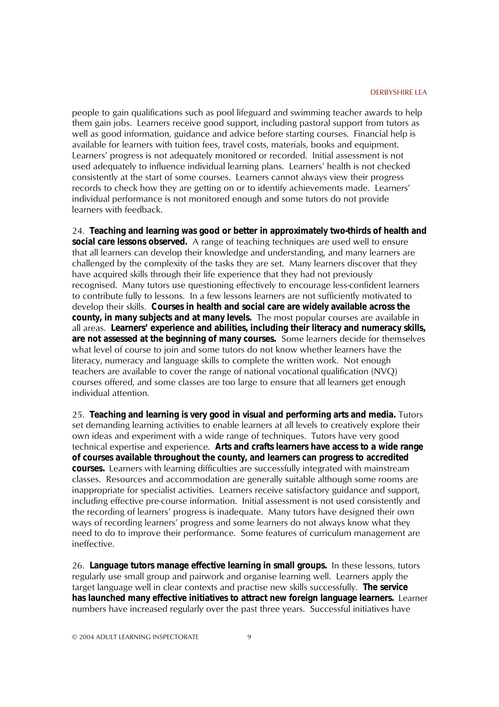people to gain qualifications such as pool lifeguard and swimming teacher awards to help them gain jobs. Learners receive good support, including pastoral support from tutors as well as good information, guidance and advice before starting courses. Financial help is available for learners with tuition fees, travel costs, materials, books and equipment. Learnersí progress is not adequately monitored or recorded. Initial assessment is not used adequately to influence individual learning plans. Learners' health is not checked consistently at the start of some courses. Learners cannot always view their progress records to check how they are getting on or to identify achievements made. Learners' individual performance is not monitored enough and some tutors do not provide learners with feedback.

24. **Teaching and learning was good or better in approximately two-thirds of health and social care lessons observed.** A range of teaching techniques are used well to ensure that all learners can develop their knowledge and understanding, and many learners are challenged by the complexity of the tasks they are set. Many learners discover that they have acquired skills through their life experience that they had not previously recognised. Many tutors use questioning effectively to encourage less-confident learners to contribute fully to lessons. In a few lessons learners are not sufficiently motivated to develop their skills. **Courses in health and social care are widely available across the county, in many subjects and at many levels.** The most popular courses are available in all areas. **Learners' experience and abilities, including their literacy and numeracy skills, are not assessed at the beginning of many courses.** Some learners decide for themselves what level of course to join and some tutors do not know whether learners have the literacy, numeracy and language skills to complete the written work. Not enough teachers are available to cover the range of national vocational qualification (NVQ) courses offered, and some classes are too large to ensure that all learners get enough individual attention.

25. **Teaching and learning is very good in visual and performing arts and media.** Tutors set demanding learning activities to enable learners at all levels to creatively explore their own ideas and experiment with a wide range of techniques. Tutors have very good technical expertise and experience. **Arts and crafts learners have access to a wide range of courses available throughout the county, and learners can progress to accredited courses.** Learners with learning difficulties are successfully integrated with mainstream classes. Resources and accommodation are generally suitable although some rooms are inappropriate for specialist activities. Learners receive satisfactory guidance and support, including effective pre-course information. Initial assessment is not used consistently and the recording of learnersí progress is inadequate. Many tutors have designed their own ways of recording learnersí progress and some learners do not always know what they need to do to improve their performance. Some features of curriculum management are ineffective.

26. **Language tutors manage effective learning in small groups.** In these lessons, tutors regularly use small group and pairwork and organise learning well. Learners apply the target language well in clear contexts and practise new skills successfully. **The service has launched many effective initiatives to attract new foreign language learners.** Learner numbers have increased regularly over the past three years. Successful initiatives have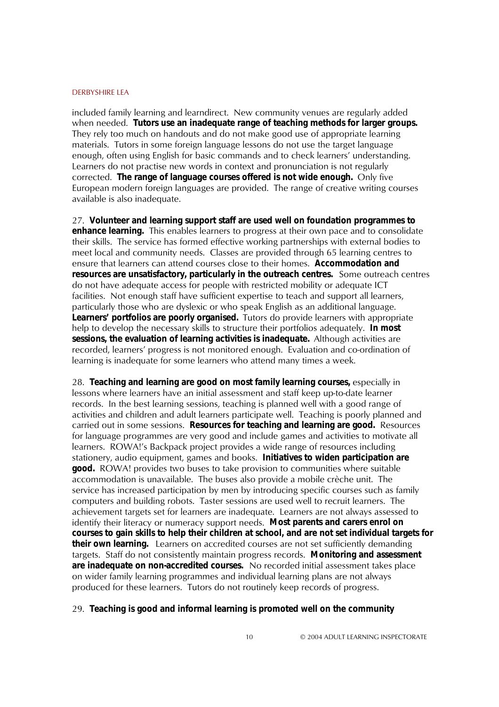included family learning and learndirect. New community venues are regularly added when needed. **Tutors use an inadequate range of teaching methods for larger groups.**  They rely too much on handouts and do not make good use of appropriate learning materials. Tutors in some foreign language lessons do not use the target language enough, often using English for basic commands and to check learnersí understanding. Learners do not practise new words in context and pronunciation is not regularly corrected. **The range of language courses offered is not wide enough.** Only five European modern foreign languages are provided. The range of creative writing courses available is also inadequate.

27. **Volunteer and learning support staff are used well on foundation programmes to enhance learning.** This enables learners to progress at their own pace and to consolidate their skills. The service has formed effective working partnerships with external bodies to meet local and community needs. Classes are provided through 65 learning centres to ensure that learners can attend courses close to their homes. **Accommodation and resources are unsatisfactory, particularly in the outreach centres.** Some outreach centres do not have adequate access for people with restricted mobility or adequate ICT facilities. Not enough staff have sufficient expertise to teach and support all learners, particularly those who are dyslexic or who speak English as an additional language. **Learners' portfolios are poorly organised.** Tutors do provide learners with appropriate help to develop the necessary skills to structure their portfolios adequately. **In most sessions, the evaluation of learning activities is inadequate.** Although activities are recorded, learnersí progress is not monitored enough. Evaluation and co-ordination of learning is inadequate for some learners who attend many times a week.

28. **Teaching and learning are good on most family learning courses,** especially in lessons where learners have an initial assessment and staff keep up-to-date learner records. In the best learning sessions, teaching is planned well with a good range of activities and children and adult learners participate well. Teaching is poorly planned and carried out in some sessions. **Resources for teaching and learning are good.** Resources for language programmes are very good and include games and activities to motivate all learners. ROWA!'s Backpack project provides a wide range of resources including stationery, audio equipment, games and books. **Initiatives to widen participation are good.** ROWA! provides two buses to take provision to communities where suitable accommodation is unavailable. The buses also provide a mobile crèche unit. The service has increased participation by men by introducing specific courses such as family computers and building robots. Taster sessions are used well to recruit learners. The achievement targets set for learners are inadequate. Learners are not always assessed to identify their literacy or numeracy support needs. **Most parents and carers enrol on courses to gain skills to help their children at school, and are not set individual targets for their own learning.** Learners on accredited courses are not set sufficiently demanding targets. Staff do not consistently maintain progress records. **Monitoring and assessment are inadequate on non-accredited courses.** No recorded initial assessment takes place on wider family learning programmes and individual learning plans are not always produced for these learners. Tutors do not routinely keep records of progress.

#### 29. **Teaching is good and informal learning is promoted well on the community**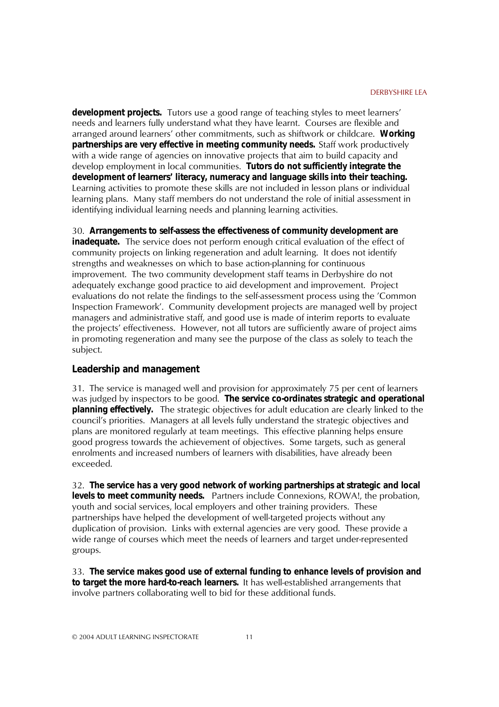**development projects.** Tutors use a good range of teaching styles to meet learners' needs and learners fully understand what they have learnt. Courses are flexible and arranged around learnersí other commitments, such as shiftwork or childcare. **Working partnerships are very effective in meeting community needs.** Staff work productively with a wide range of agencies on innovative projects that aim to build capacity and develop employment in local communities. **Tutors do not sufficiently integrate the development of learners' literacy, numeracy and language skills into their teaching.**  Learning activities to promote these skills are not included in lesson plans or individual learning plans. Many staff members do not understand the role of initial assessment in identifying individual learning needs and planning learning activities.

30. **Arrangements to self-assess the effectiveness of community development are** 

**inadequate.** The service does not perform enough critical evaluation of the effect of community projects on linking regeneration and adult learning. It does not identify strengths and weaknesses on which to base action-planning for continuous improvement. The two community development staff teams in Derbyshire do not adequately exchange good practice to aid development and improvement. Project evaluations do not relate the findings to the self-assessment process using the 'Common Inspection Frameworkí. Community development projects are managed well by project managers and administrative staff, and good use is made of interim reports to evaluate the projectsí effectiveness. However, not all tutors are sufficiently aware of project aims in promoting regeneration and many see the purpose of the class as solely to teach the subject.

#### **Leadership and management**

31. The service is managed well and provision for approximately 75 per cent of learners was judged by inspectors to be good. **The service co-ordinates strategic and operational planning effectively.** The strategic objectives for adult education are clearly linked to the council's priorities. Managers at all levels fully understand the strategic objectives and plans are monitored regularly at team meetings. This effective planning helps ensure good progress towards the achievement of objectives. Some targets, such as general enrolments and increased numbers of learners with disabilities, have already been exceeded.

32. **The service has a very good network of working partnerships at strategic and local levels to meet community needs.** Partners include Connexions, ROWA!, the probation, youth and social services, local employers and other training providers. These partnerships have helped the development of well-targeted projects without any duplication of provision. Links with external agencies are very good. These provide a wide range of courses which meet the needs of learners and target under-represented groups.

33. **The service makes good use of external funding to enhance levels of provision and to target the more hard-to-reach learners.** It has well-established arrangements that involve partners collaborating well to bid for these additional funds.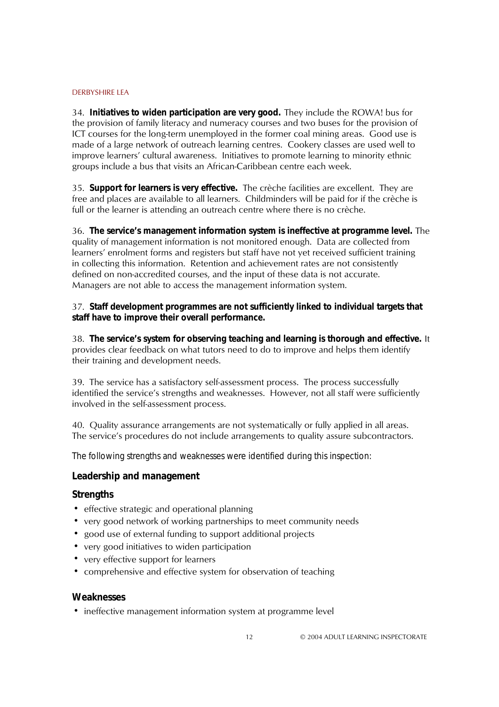34. **Initiatives to widen participation are very good.** They include the ROWA! bus for the provision of family literacy and numeracy courses and two buses for the provision of ICT courses for the long-term unemployed in the former coal mining areas. Good use is made of a large network of outreach learning centres. Cookery classes are used well to improve learnersí cultural awareness. Initiatives to promote learning to minority ethnic groups include a bus that visits an African-Caribbean centre each week.

35. **Support for learners is very effective.** The crèche facilities are excellent. They are free and places are available to all learners. Childminders will be paid for if the crèche is full or the learner is attending an outreach centre where there is no crèche.

36. **The service's management information system is ineffective at programme level.** The quality of management information is not monitored enough. Data are collected from learners' enrolment forms and registers but staff have not yet received sufficient training in collecting this information. Retention and achievement rates are not consistently defined on non-accredited courses, and the input of these data is not accurate. Managers are not able to access the management information system.

### 37. **Staff development programmes are not sufficiently linked to individual targets that staff have to improve their overall performance.**

38. **The service's system for observing teaching and learning is thorough and effective.** It provides clear feedback on what tutors need to do to improve and helps them identify their training and development needs.

39. The service has a satisfactory self-assessment process. The process successfully identified the service's strengths and weaknesses. However, not all staff were sufficiently involved in the self-assessment process.

40. Quality assurance arrangements are not systematically or fully applied in all areas. The service's procedures do not include arrangements to quality assure subcontractors.

*The following strengths and weaknesses were identified during this inspection:*

#### **Leadership and management**

#### **Strengths**

- effective strategic and operational planning
- ! very good network of working partnerships to meet community needs
- ! good use of external funding to support additional projects
- ! very good initiatives to widen participation
- very effective support for learners
- comprehensive and effective system for observation of teaching

#### **Weaknesses**

! ineffective management information system at programme level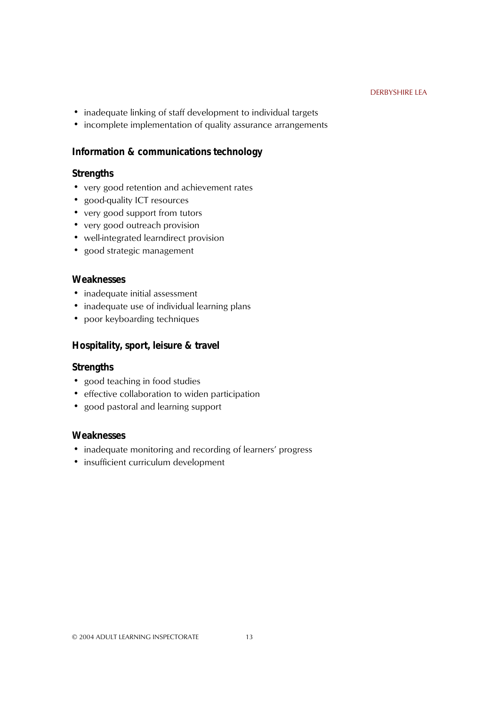- inadequate linking of staff development to individual targets
- incomplete implementation of quality assurance arrangements

### **Information & communications technology**

### **Strengths**

- very good retention and achievement rates
- good-quality ICT resources
- very good support from tutors
- very good outreach provision
- well-integrated learndirect provision
- good strategic management

### **Weaknesses**

- inadequate initial assessment
- inadequate use of individual learning plans
- poor keyboarding techniques

### **Hospitality, sport, leisure & travel**

### **Strengths**

- good teaching in food studies
- effective collaboration to widen participation
- good pastoral and learning support

### **Weaknesses**

- inadequate monitoring and recording of learners' progress
- insufficient curriculum development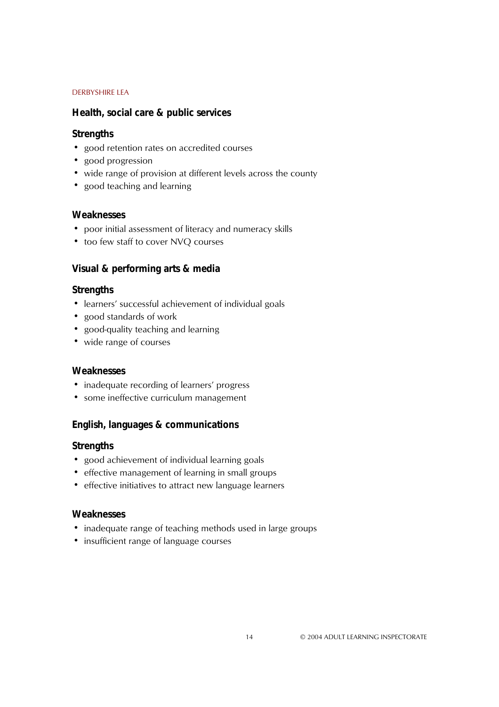### **Health, social care & public services**

### **Strengths**

- good retention rates on accredited courses
- good progression
- wide range of provision at different levels across the county
- good teaching and learning

### **Weaknesses**

- ! poor initial assessment of literacy and numeracy skills
- too few staff to cover NVQ courses

### **Visual & performing arts & media**

### **Strengths**

- learners' successful achievement of individual goals
- good standards of work
- good-quality teaching and learning
- wide range of courses

#### **Weaknesses**

- inadequate recording of learners' progress
- some ineffective curriculum management

### **English, languages & communications**

### **Strengths**

- ! good achievement of individual learning goals
- effective management of learning in small groups
- effective initiatives to attract new language learners

### **Weaknesses**

- inadequate range of teaching methods used in large groups
- insufficient range of language courses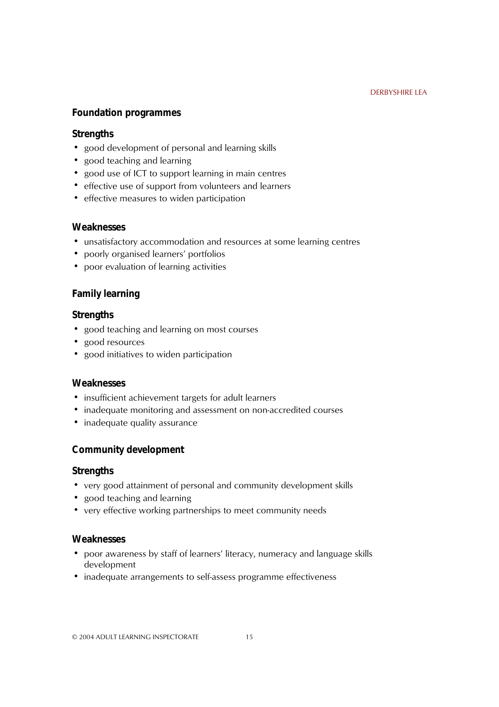### **Foundation programmes**

### **Strengths**

- good development of personal and learning skills
- good teaching and learning
- ! good use of ICT to support learning in main centres
- ! effective use of support from volunteers and learners
- effective measures to widen participation

### **Weaknesses**

- ! unsatisfactory accommodation and resources at some learning centres
- poorly organised learners' portfolios
- poor evaluation of learning activities

### **Family learning**

### **Strengths**

- good teaching and learning on most courses
- good resources
- good initiatives to widen participation

### **Weaknesses**

- ! insufficient achievement targets for adult learners
- inadequate monitoring and assessment on non-accredited courses
- inadequate quality assurance

### **Community development**

#### **Strengths**

- very good attainment of personal and community development skills
- good teaching and learning
- ! very effective working partnerships to meet community needs

### **Weaknesses**

- poor awareness by staff of learners' literacy, numeracy and language skills development
- ! inadequate arrangements to self-assess programme effectiveness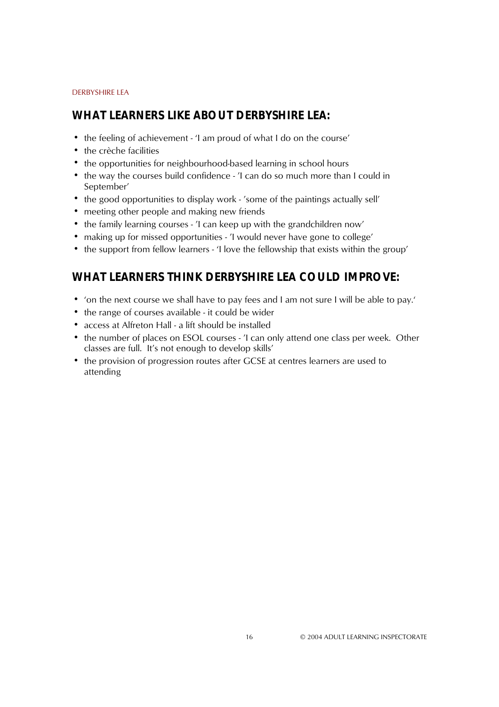### **WHAT LEARNERS LIKE ABOUT DERBYSHIRE LEA:**

- the feeling of achievement 'I am proud of what I do on the course'
- the crèche facilities
- the opportunities for neighbourhood-based learning in school hours
- the way the courses build confidence 'I can do so much more than I could in September<sup>'</sup>
- the good opportunities to display work 'some of the paintings actually sell'
- meeting other people and making new friends
- the family learning courses 'I can keep up with the grandchildren now'
- making up for missed opportunities 'I would never have gone to college'
- the support from fellow learners 'I love the fellowship that exists within the group'

### **WHAT LEARNERS THINK DERBYSHIRE LEA COULD IMPROVE:**

- 'on the next course we shall have to pay fees and I am not sure I will be able to pay.'
- the range of courses available it could be wider
- ! access at Alfreton Hall a lift should be installed
- the number of places on ESOL courses 'I can only attend one class per week. Other classes are full. It's not enough to develop skills'
- the provision of progression routes after GCSE at centres learners are used to attending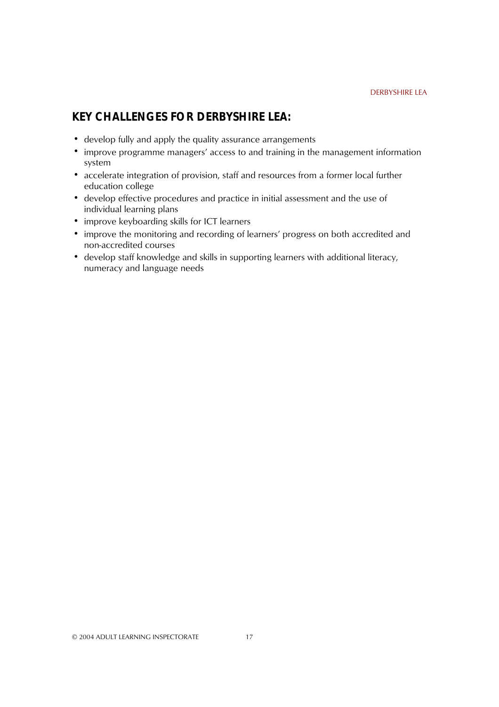### **KEY CHALLENGES FOR DERBYSHIRE LEA:**

- develop fully and apply the quality assurance arrangements
- improve programme managers' access to and training in the management information system
- accelerate integration of provision, staff and resources from a former local further education college
- develop effective procedures and practice in initial assessment and the use of ! individual learning plans
- improve keyboarding skills for ICT learners
- improve the monitoring and recording of learners' progress on both accredited and non-accredited courses
- develop staff knowledge and skills in supporting learners with additional literacy, numeracy and language needs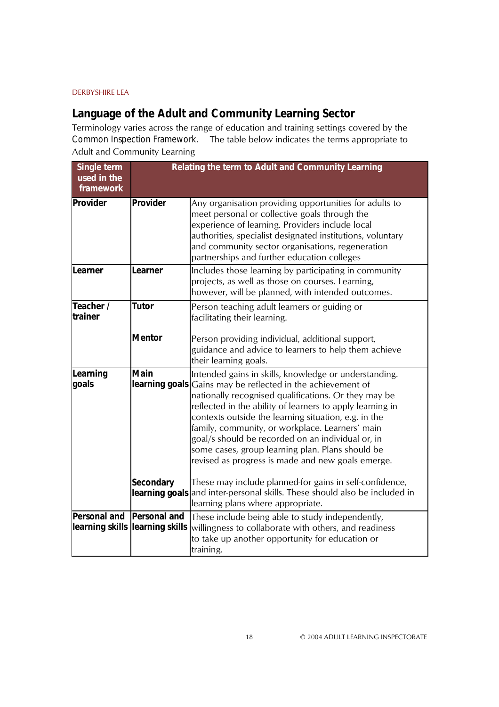## **Language of the Adult and Community Learning Sector**

Terminology varies across the range of education and training settings covered by the *Common Inspection Framework.* The table below indicates the terms appropriate to Adult and Community Learning

| Single term<br>used in the<br>framework |                                                        | Relating the term to Adult and Community Learning                                                                                                                                                                                                                                                                                                                                                                                                                                                                         |
|-----------------------------------------|--------------------------------------------------------|---------------------------------------------------------------------------------------------------------------------------------------------------------------------------------------------------------------------------------------------------------------------------------------------------------------------------------------------------------------------------------------------------------------------------------------------------------------------------------------------------------------------------|
| Provider                                | Provider                                               | Any organisation providing opportunities for adults to<br>meet personal or collective goals through the<br>experience of learning. Providers include local<br>authorities, specialist designated institutions, voluntary<br>and community sector organisations, regeneration<br>partnerships and further education colleges                                                                                                                                                                                               |
| Learner                                 | Learner                                                | Includes those learning by participating in community<br>projects, as well as those on courses. Learning,<br>however, will be planned, with intended outcomes.                                                                                                                                                                                                                                                                                                                                                            |
| Teacher /<br>trainer                    | <b>Tutor</b>                                           | Person teaching adult learners or guiding or<br>facilitating their learning.                                                                                                                                                                                                                                                                                                                                                                                                                                              |
|                                         | <b>Mentor</b>                                          | Person providing individual, additional support,<br>guidance and advice to learners to help them achieve<br>their learning goals.                                                                                                                                                                                                                                                                                                                                                                                         |
| Learning<br>goals                       | <b>Main</b>                                            | Intended gains in skills, knowledge or understanding.<br><b>learning goals</b> Gains may be reflected in the achievement of<br>nationally recognised qualifications. Or they may be<br>reflected in the ability of learners to apply learning in<br>contexts outside the learning situation, e.g. in the<br>family, community, or workplace. Learners' main<br>goal/s should be recorded on an individual or, in<br>some cases, group learning plan. Plans should be<br>revised as progress is made and new goals emerge. |
|                                         | <b>Secondary</b>                                       | These may include planned-for gains in self-confidence,<br>learning goals and inter-personal skills. These should also be included in<br>learning plans where appropriate.                                                                                                                                                                                                                                                                                                                                                |
| <b>Personal and</b>                     | <b>Personal and</b><br>learning skills learning skills | These include being able to study independently,<br>willingness to collaborate with others, and readiness<br>to take up another opportunity for education or<br>training.                                                                                                                                                                                                                                                                                                                                                 |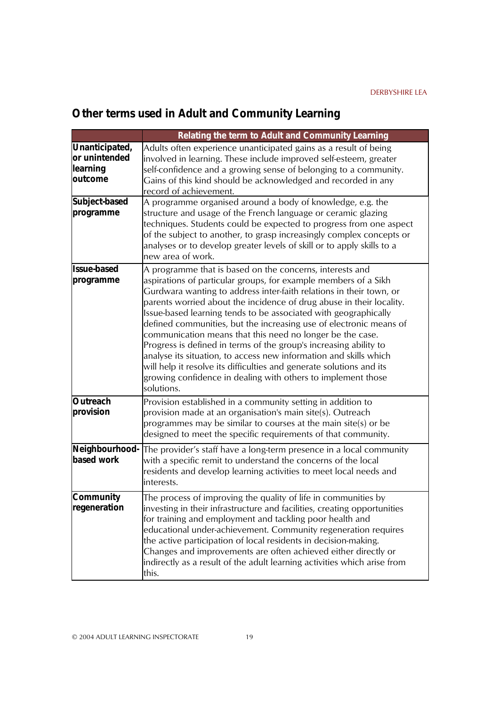# **Other terms used in Adult and Community Learning**

|                                                        | Relating the term to Adult and Community Learning                                                                                                                                                                                                                                                                                                                                                                                                                                                                                                                                                                                                                                                                                                                                |
|--------------------------------------------------------|----------------------------------------------------------------------------------------------------------------------------------------------------------------------------------------------------------------------------------------------------------------------------------------------------------------------------------------------------------------------------------------------------------------------------------------------------------------------------------------------------------------------------------------------------------------------------------------------------------------------------------------------------------------------------------------------------------------------------------------------------------------------------------|
| Unanticipated,<br>or unintended<br>learning<br>outcome | Adults often experience unanticipated gains as a result of being<br>involved in learning. These include improved self-esteem, greater<br>self-confidence and a growing sense of belonging to a community.<br>Gains of this kind should be acknowledged and recorded in any<br>record of achievement.                                                                                                                                                                                                                                                                                                                                                                                                                                                                             |
| Subject-based<br>programme                             | A programme organised around a body of knowledge, e.g. the<br>structure and usage of the French language or ceramic glazing<br>techniques. Students could be expected to progress from one aspect<br>of the subject to another, to grasp increasingly complex concepts or<br>analyses or to develop greater levels of skill or to apply skills to a<br>new area of work.                                                                                                                                                                                                                                                                                                                                                                                                         |
| <b>Issue-based</b><br>programme                        | A programme that is based on the concerns, interests and<br>aspirations of particular groups, for example members of a Sikh<br>Gurdwara wanting to address inter-faith relations in their town, or<br>parents worried about the incidence of drug abuse in their locality.<br>Issue-based learning tends to be associated with geographically<br>defined communities, but the increasing use of electronic means of<br>communication means that this need no longer be the case.<br>Progress is defined in terms of the group's increasing ability to<br>analyse its situation, to access new information and skills which<br>will help it resolve its difficulties and generate solutions and its<br>growing confidence in dealing with others to implement those<br>solutions. |
| Outreach<br>provision                                  | Provision established in a community setting in addition to<br>provision made at an organisation's main site(s). Outreach<br>programmes may be similar to courses at the main site(s) or be<br>designed to meet the specific requirements of that community.                                                                                                                                                                                                                                                                                                                                                                                                                                                                                                                     |
| based work                                             | Neighbourhood- The provider's staff have a long-term presence in a local community<br>with a specific remit to understand the concerns of the local<br>residents and develop learning activities to meet local needs and<br>interests.                                                                                                                                                                                                                                                                                                                                                                                                                                                                                                                                           |
| <b>Community</b><br>regeneration                       | The process of improving the quality of life in communities by<br>investing in their infrastructure and facilities, creating opportunities<br>for training and employment and tackling poor health and<br>educational under-achievement. Community regeneration requires<br>the active participation of local residents in decision-making.<br>Changes and improvements are often achieved either directly or<br>indirectly as a result of the adult learning activities which arise from<br>this.                                                                                                                                                                                                                                                                               |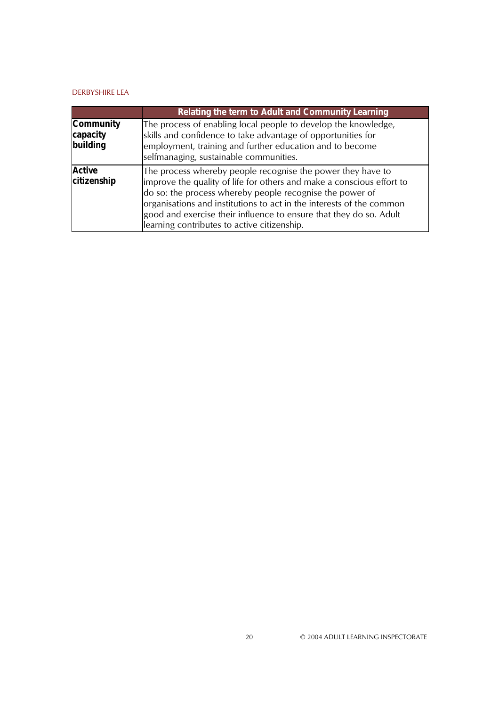|                                          | Relating the term to Adult and Community Learning                                                                                                                                                                                                                                                                                                                                             |
|------------------------------------------|-----------------------------------------------------------------------------------------------------------------------------------------------------------------------------------------------------------------------------------------------------------------------------------------------------------------------------------------------------------------------------------------------|
| <b>Community</b><br>capacity<br>building | The process of enabling local people to develop the knowledge,<br>skills and confidence to take advantage of opportunities for<br>employment, training and further education and to become<br>selfmanaging, sustainable communities.                                                                                                                                                          |
| <b>Active</b><br>citizenship             | The process whereby people recognise the power they have to<br>improve the quality of life for others and make a conscious effort to<br>do so: the process whereby people recognise the power of<br>organisations and institutions to act in the interests of the common<br>good and exercise their influence to ensure that they do so. Adult<br>learning contributes to active citizenship. |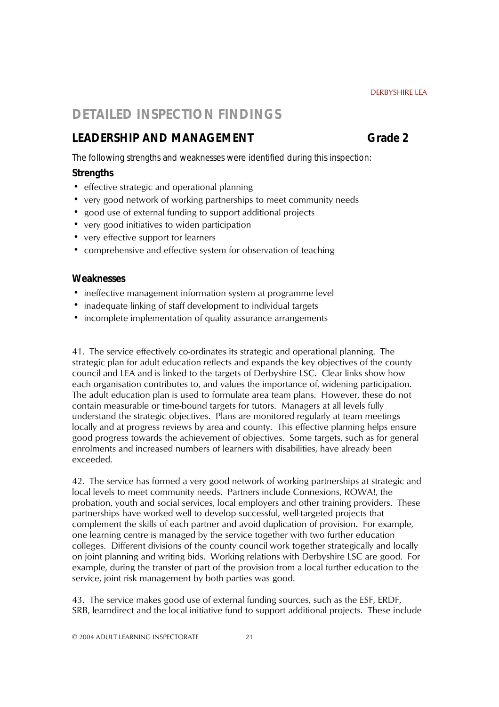### **DETAILED INSPECTION FINDINGS**

### LEADERSHIP AND MANAGEMENT **CONSERVERSHIP AND MANAGEMENT**

*The following strengths and weaknesses were identified during this inspection:*

### **Strengths**

- effective strategic and operational planning
- ! very good network of working partnerships to meet community needs
- ! good use of external funding to support additional projects
- ! very good initiatives to widen participation
- very effective support for learners
- comprehensive and effective system for observation of teaching

#### **Weaknesses**

- ! ineffective management information system at programme level
- inadequate linking of staff development to individual targets
- incomplete implementation of quality assurance arrangements

41. The service effectively co-ordinates its strategic and operational planning. The strategic plan for adult education reflects and expands the key objectives of the county council and LEA and is linked to the targets of Derbyshire LSC. Clear links show how each organisation contributes to, and values the importance of, widening participation. The adult education plan is used to formulate area team plans. However, these do not contain measurable or time-bound targets for tutors. Managers at all levels fully understand the strategic objectives. Plans are monitored regularly at team meetings locally and at progress reviews by area and county. This effective planning helps ensure good progress towards the achievement of objectives. Some targets, such as for general enrolments and increased numbers of learners with disabilities, have already been exceeded.

42. The service has formed a very good network of working partnerships at strategic and local levels to meet community needs. Partners include Connexions, ROWA!, the probation, youth and social services, local employers and other training providers. These partnerships have worked well to develop successful, well-targeted projects that complement the skills of each partner and avoid duplication of provision. For example, one learning centre is managed by the service together with two further education colleges. Different divisions of the county council work together strategically and locally on joint planning and writing bids. Working relations with Derbyshire LSC are good. For example, during the transfer of part of the provision from a local further education to the service, joint risk management by both parties was good.

43. The service makes good use of external funding sources, such as the ESF, ERDF, SRB, learndirect and the local initiative fund to support additional projects. These include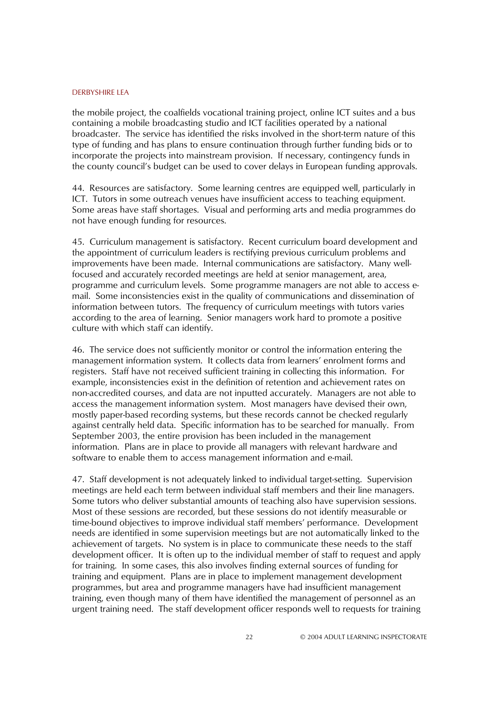the mobile project, the coalfields vocational training project, online ICT suites and a bus containing a mobile broadcasting studio and ICT facilities operated by a national broadcaster. The service has identified the risks involved in the short-term nature of this type of funding and has plans to ensure continuation through further funding bids or to incorporate the projects into mainstream provision. If necessary, contingency funds in the county council's budget can be used to cover delays in European funding approvals.

44. Resources are satisfactory. Some learning centres are equipped well, particularly in ICT. Tutors in some outreach venues have insufficient access to teaching equipment. Some areas have staff shortages. Visual and performing arts and media programmes do not have enough funding for resources.

45. Curriculum management is satisfactory. Recent curriculum board development and the appointment of curriculum leaders is rectifying previous curriculum problems and improvements have been made. Internal communications are satisfactory. Many wellfocused and accurately recorded meetings are held at senior management, area, programme and curriculum levels. Some programme managers are not able to access email. Some inconsistencies exist in the quality of communications and dissemination of information between tutors. The frequency of curriculum meetings with tutors varies according to the area of learning. Senior managers work hard to promote a positive culture with which staff can identify.

46. The service does not sufficiently monitor or control the information entering the management information system. It collects data from learnersí enrolment forms and registers. Staff have not received sufficient training in collecting this information. For example, inconsistencies exist in the definition of retention and achievement rates on non-accredited courses, and data are not inputted accurately. Managers are not able to access the management information system. Most managers have devised their own, mostly paper-based recording systems, but these records cannot be checked regularly against centrally held data. Specific information has to be searched for manually. From September 2003, the entire provision has been included in the management information. Plans are in place to provide all managers with relevant hardware and software to enable them to access management information and e-mail.

47. Staff development is not adequately linked to individual target-setting. Supervision meetings are held each term between individual staff members and their line managers. Some tutors who deliver substantial amounts of teaching also have supervision sessions. Most of these sessions are recorded, but these sessions do not identify measurable or time-bound objectives to improve individual staff membersí performance. Development needs are identified in some supervision meetings but are not automatically linked to the achievement of targets. No system is in place to communicate these needs to the staff development officer. It is often up to the individual member of staff to request and apply for training. In some cases, this also involves finding external sources of funding for training and equipment. Plans are in place to implement management development programmes, but area and programme managers have had insufficient management training, even though many of them have identified the management of personnel as an urgent training need. The staff development officer responds well to requests for training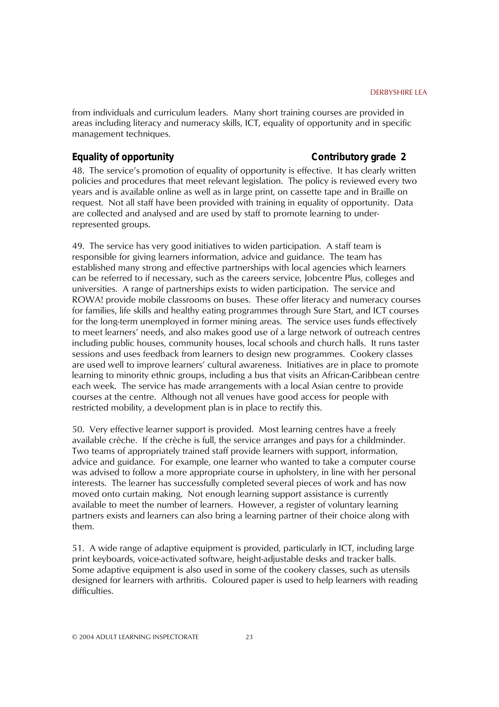from individuals and curriculum leaders. Many short training courses are provided in areas including literacy and numeracy skills, ICT, equality of opportunity and in specific management techniques.

### **Equality of opportunity** Contributory grade 2

48. The serviceís promotion of equality of opportunity is effective. It has clearly written policies and procedures that meet relevant legislation. The policy is reviewed every two years and is available online as well as in large print, on cassette tape and in Braille on request. Not all staff have been provided with training in equality of opportunity. Data are collected and analysed and are used by staff to promote learning to underrepresented groups.

49. The service has very good initiatives to widen participation. A staff team is responsible for giving learners information, advice and guidance. The team has established many strong and effective partnerships with local agencies which learners can be referred to if necessary, such as the careers service, Jobcentre Plus, colleges and universities. A range of partnerships exists to widen participation. The service and ROWA! provide mobile classrooms on buses. These offer literacy and numeracy courses for families, life skills and healthy eating programmes through Sure Start, and ICT courses for the long-term unemployed in former mining areas. The service uses funds effectively to meet learnersí needs, and also makes good use of a large network of outreach centres including public houses, community houses, local schools and church halls. It runs taster sessions and uses feedback from learners to design new programmes. Cookery classes are used well to improve learnersí cultural awareness. Initiatives are in place to promote learning to minority ethnic groups, including a bus that visits an African-Caribbean centre each week. The service has made arrangements with a local Asian centre to provide courses at the centre. Although not all venues have good access for people with restricted mobility, a development plan is in place to rectify this.

50. Very effective learner support is provided. Most learning centres have a freely available crèche. If the crèche is full, the service arranges and pays for a childminder. Two teams of appropriately trained staff provide learners with support, information, advice and guidance. For example, one learner who wanted to take a computer course was advised to follow a more appropriate course in upholstery, in line with her personal interests. The learner has successfully completed several pieces of work and has now moved onto curtain making. Not enough learning support assistance is currently available to meet the number of learners. However, a register of voluntary learning partners exists and learners can also bring a learning partner of their choice along with them.

51. A wide range of adaptive equipment is provided, particularly in ICT, including large print keyboards, voice-activated software, height-adjustable desks and tracker balls. Some adaptive equipment is also used in some of the cookery classes, such as utensils designed for learners with arthritis. Coloured paper is used to help learners with reading difficulties.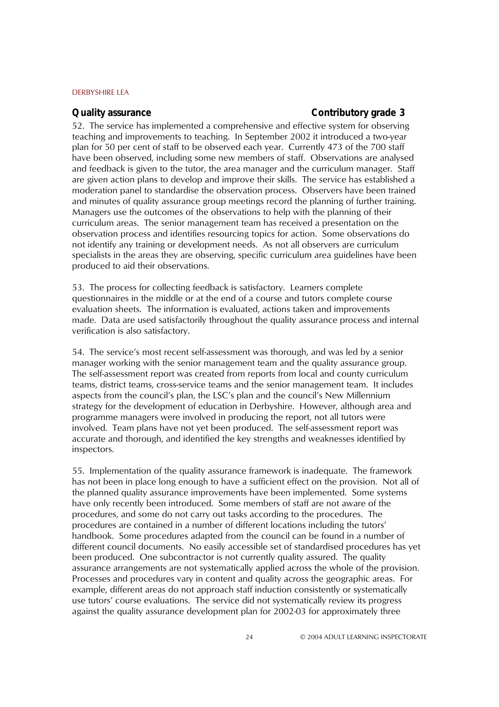#### **Quality assurance Contributory grade 3**

52. The service has implemented a comprehensive and effective system for observing teaching and improvements to teaching. In September 2002 it introduced a two-year plan for 50 per cent of staff to be observed each year. Currently 473 of the 700 staff have been observed, including some new members of staff. Observations are analysed and feedback is given to the tutor, the area manager and the curriculum manager. Staff are given action plans to develop and improve their skills. The service has established a moderation panel to standardise the observation process. Observers have been trained and minutes of quality assurance group meetings record the planning of further training. Managers use the outcomes of the observations to help with the planning of their curriculum areas. The senior management team has received a presentation on the observation process and identifies resourcing topics for action. Some observations do not identify any training or development needs. As not all observers are curriculum specialists in the areas they are observing, specific curriculum area guidelines have been produced to aid their observations.

53. The process for collecting feedback is satisfactory. Learners complete questionnaires in the middle or at the end of a course and tutors complete course evaluation sheets. The information is evaluated, actions taken and improvements made. Data are used satisfactorily throughout the quality assurance process and internal verification is also satisfactory.

54. The serviceís most recent self-assessment was thorough, and was led by a senior manager working with the senior management team and the quality assurance group. The self-assessment report was created from reports from local and county curriculum teams, district teams, cross-service teams and the senior management team. It includes aspects from the council's plan, the LSC's plan and the council's New Millennium strategy for the development of education in Derbyshire. However, although area and programme managers were involved in producing the report, not all tutors were involved. Team plans have not yet been produced. The self-assessment report was accurate and thorough, and identified the key strengths and weaknesses identified by inspectors.

55. Implementation of the quality assurance framework is inadequate. The framework has not been in place long enough to have a sufficient effect on the provision. Not all of the planned quality assurance improvements have been implemented. Some systems have only recently been introduced. Some members of staff are not aware of the procedures, and some do not carry out tasks according to the procedures. The procedures are contained in a number of different locations including the tutorsí handbook. Some procedures adapted from the council can be found in a number of different council documents. No easily accessible set of standardised procedures has yet been produced. One subcontractor is not currently quality assured. The quality assurance arrangements are not systematically applied across the whole of the provision. Processes and procedures vary in content and quality across the geographic areas. For example, different areas do not approach staff induction consistently or systematically use tutorsí course evaluations. The service did not systematically review its progress against the quality assurance development plan for 2002-03 for approximately three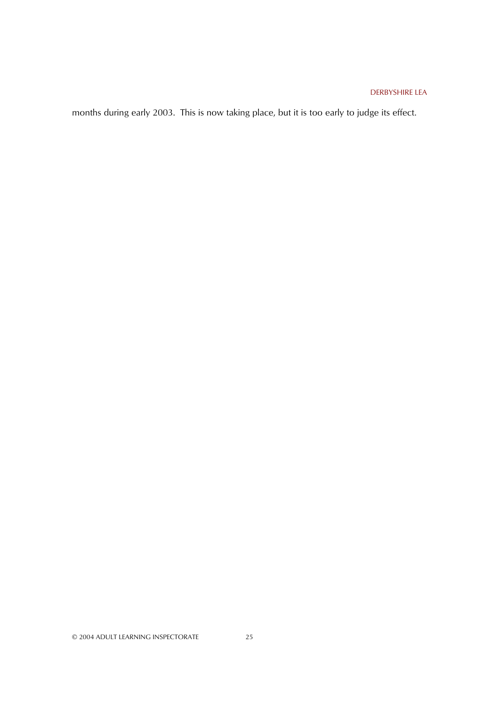months during early 2003. This is now taking place, but it is too early to judge its effect.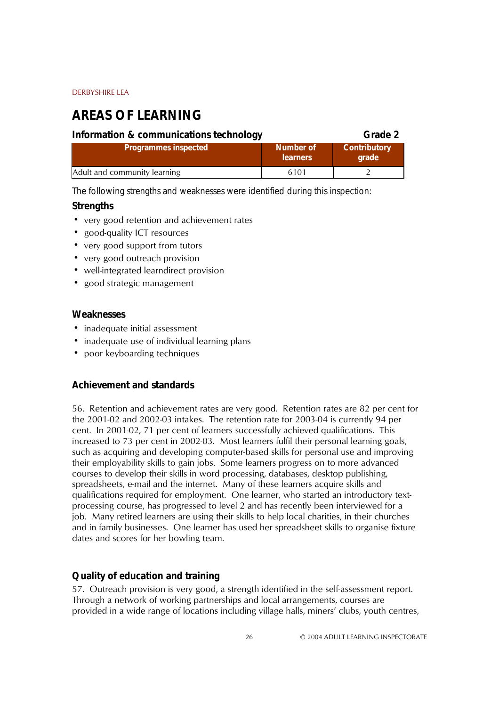# **AREAS OF LEARNING**

| Information & communications technology |                              | Grade 2                      |
|-----------------------------------------|------------------------------|------------------------------|
| <b>Programmes inspected</b>             | Number of<br><b>learners</b> | <b>Contributory</b><br>grade |
| Adult and community learning            | 6101                         |                              |

*The following strengths and weaknesses were identified during this inspection:*

### **Strengths**

- very good retention and achievement rates
- good-quality ICT resources
- very good support from tutors
- very good outreach provision
- well-integrated learndirect provision
- good strategic management

#### **Weaknesses**

- inadequate initial assessment
- inadequate use of individual learning plans
- poor keyboarding techniques

#### **Achievement and standards**

56. Retention and achievement rates are very good. Retention rates are 82 per cent for the 2001-02 and 2002-03 intakes. The retention rate for 2003-04 is currently 94 per cent. In 2001-02, 71 per cent of learners successfully achieved qualifications. This increased to 73 per cent in 2002-03. Most learners fulfil their personal learning goals, such as acquiring and developing computer-based skills for personal use and improving their employability skills to gain jobs. Some learners progress on to more advanced courses to develop their skills in word processing, databases, desktop publishing, spreadsheets, e-mail and the internet. Many of these learners acquire skills and qualifications required for employment. One learner, who started an introductory textprocessing course, has progressed to level 2 and has recently been interviewed for a job. Many retired learners are using their skills to help local charities, in their churches and in family businesses. One learner has used her spreadsheet skills to organise fixture dates and scores for her bowling team.

### **Quality of education and training**

57. Outreach provision is very good, a strength identified in the self-assessment report. Through a network of working partnerships and local arrangements, courses are provided in a wide range of locations including village halls, miners' clubs, youth centres,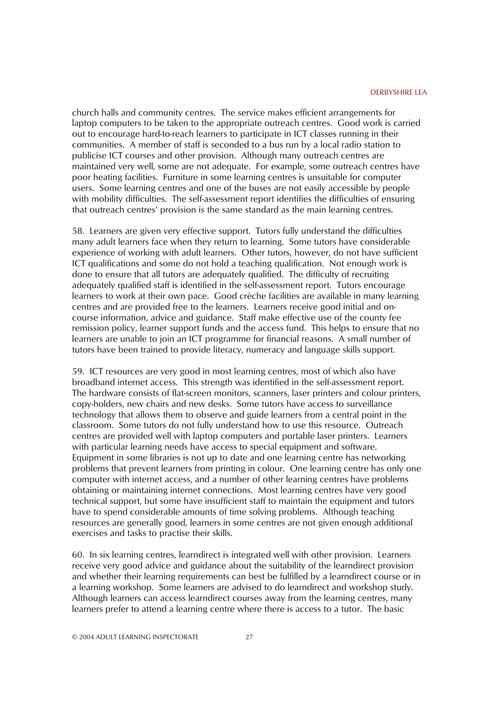church halls and community centres. The service makes efficient arrangements for laptop computers to be taken to the appropriate outreach centres. Good work is carried out to encourage hard-to-reach learners to participate in ICT classes running in their communities. A member of staff is seconded to a bus run by a local radio station to publicise ICT courses and other provision. Although many outreach centres are maintained very well, some are not adequate. For example, some outreach centres have poor heating facilities. Furniture in some learning centres is unsuitable for computer users. Some learning centres and one of the buses are not easily accessible by people with mobility difficulties. The self-assessment report identifies the difficulties of ensuring that outreach centresí provision is the same standard as the main learning centres.

58. Learners are given very effective support. Tutors fully understand the difficulties many adult learners face when they return to learning. Some tutors have considerable experience of working with adult learners. Other tutors, however, do not have sufficient ICT qualifications and some do not hold a teaching qualification. Not enough work is done to ensure that all tutors are adequately qualified. The difficulty of recruiting adequately qualified staff is identified in the self-assessment report. Tutors encourage learners to work at their own pace. Good crèche facilities are available in many learning centres and are provided free to the learners. Learners receive good initial and oncourse information, advice and guidance. Staff make effective use of the county fee remission policy, learner support funds and the access fund. This helps to ensure that no learners are unable to join an ICT programme for financial reasons. A small number of tutors have been trained to provide literacy, numeracy and language skills support.

59. ICT resources are very good in most learning centres, most of which also have broadband internet access. This strength was identified in the self-assessment report. The hardware consists of flat-screen monitors, scanners, laser printers and colour printers, copy-holders, new chairs and new desks. Some tutors have access to surveillance technology that allows them to observe and guide learners from a central point in the classroom. Some tutors do not fully understand how to use this resource. Outreach centres are provided well with laptop computers and portable laser printers. Learners with particular learning needs have access to special equipment and software. Equipment in some libraries is not up to date and one learning centre has networking problems that prevent learners from printing in colour. One learning centre has only one computer with internet access, and a number of other learning centres have problems obtaining or maintaining internet connections. Most learning centres have very good technical support, but some have insufficient staff to maintain the equipment and tutors have to spend considerable amounts of time solving problems. Although teaching resources are generally good, learners in some centres are not given enough additional exercises and tasks to practise their skills.

60. In six learning centres, learndirect is integrated well with other provision. Learners receive very good advice and guidance about the suitability of the learndirect provision and whether their learning requirements can best be fulfilled by a learndirect course or in a learning workshop. Some learners are advised to do learndirect and workshop study. Although learners can access learndirect courses away from the learning centres, many learners prefer to attend a learning centre where there is access to a tutor. The basic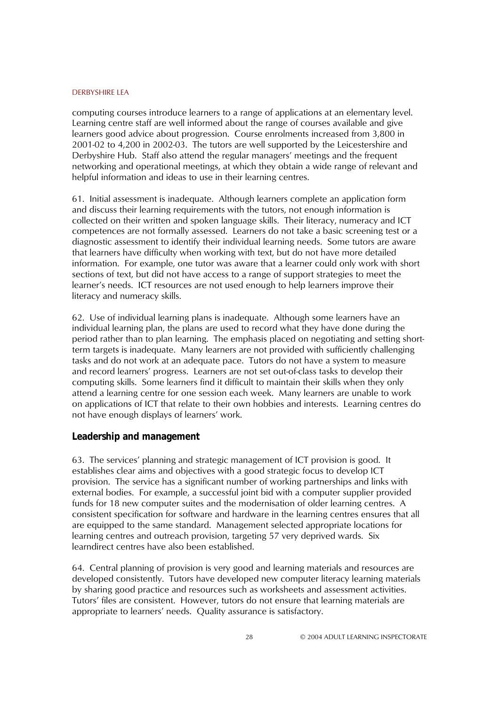computing courses introduce learners to a range of applications at an elementary level. Learning centre staff are well informed about the range of courses available and give learners good advice about progression. Course enrolments increased from 3,800 in 2001-02 to 4,200 in 2002-03. The tutors are well supported by the Leicestershire and Derbyshire Hub. Staff also attend the regular managers' meetings and the frequent networking and operational meetings, at which they obtain a wide range of relevant and helpful information and ideas to use in their learning centres.

61. Initial assessment is inadequate. Although learners complete an application form and discuss their learning requirements with the tutors, not enough information is collected on their written and spoken language skills. Their literacy, numeracy and ICT competences are not formally assessed. Learners do not take a basic screening test or a diagnostic assessment to identify their individual learning needs. Some tutors are aware that learners have difficulty when working with text, but do not have more detailed information. For example, one tutor was aware that a learner could only work with short sections of text, but did not have access to a range of support strategies to meet the learnerís needs. ICT resources are not used enough to help learners improve their literacy and numeracy skills.

62. Use of individual learning plans is inadequate. Although some learners have an individual learning plan, the plans are used to record what they have done during the period rather than to plan learning. The emphasis placed on negotiating and setting shortterm targets is inadequate. Many learners are not provided with sufficiently challenging tasks and do not work at an adequate pace. Tutors do not have a system to measure and record learners' progress. Learners are not set out-of-class tasks to develop their computing skills. Some learners find it difficult to maintain their skills when they only attend a learning centre for one session each week. Many learners are unable to work on applications of ICT that relate to their own hobbies and interests. Learning centres do not have enough displays of learners' work.

### **Leadership and management**

63. The services' planning and strategic management of ICT provision is good. It establishes clear aims and objectives with a good strategic focus to develop ICT provision. The service has a significant number of working partnerships and links with external bodies. For example, a successful joint bid with a computer supplier provided funds for 18 new computer suites and the modernisation of older learning centres. A consistent specification for software and hardware in the learning centres ensures that all are equipped to the same standard. Management selected appropriate locations for learning centres and outreach provision, targeting 57 very deprived wards. Six learndirect centres have also been established.

64. Central planning of provision is very good and learning materials and resources are developed consistently. Tutors have developed new computer literacy learning materials by sharing good practice and resources such as worksheets and assessment activities. Tutorsí files are consistent. However, tutors do not ensure that learning materials are appropriate to learners' needs. Quality assurance is satisfactory.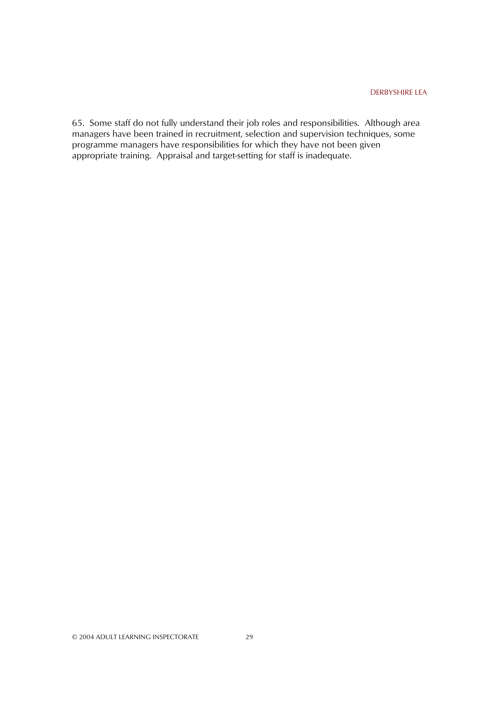65. Some staff do not fully understand their job roles and responsibilities. Although area managers have been trained in recruitment, selection and supervision techniques, some programme managers have responsibilities for which they have not been given appropriate training. Appraisal and target-setting for staff is inadequate.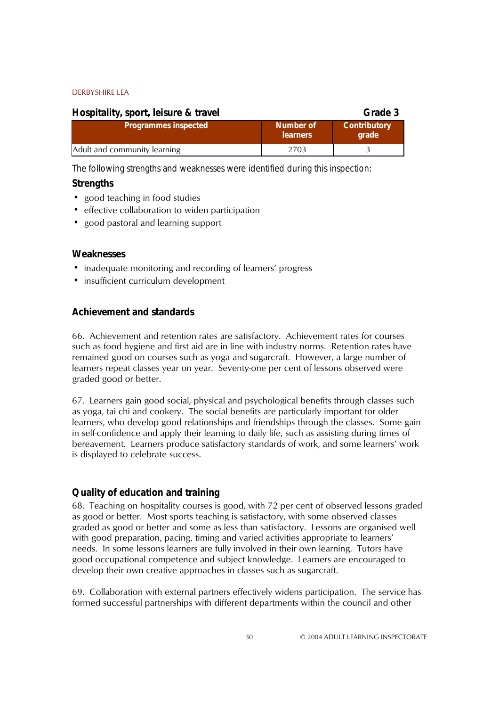| Hospitality, sport, leisure & travel |                              | Grade 3                      |
|--------------------------------------|------------------------------|------------------------------|
| <b>Programmes inspected</b>          | Number of<br><b>learners</b> | <b>Contributory</b><br>grade |
| Adult and community learning         | 2703                         |                              |

*The following strengths and weaknesses were identified during this inspection:*

### **Strengths**

- good teaching in food studies
- effective collaboration to widen participation
- good pastoral and learning support

### **Weaknesses**

- inadequate monitoring and recording of learners' progress
- insufficient curriculum development

### **Achievement and standards**

66. Achievement and retention rates are satisfactory. Achievement rates for courses such as food hygiene and first aid are in line with industry norms. Retention rates have remained good on courses such as yoga and sugarcraft. However, a large number of learners repeat classes year on year. Seventy-one per cent of lessons observed were graded good or better.

67. Learners gain good social, physical and psychological benefits through classes such as yoga, tai chi and cookery. The social benefits are particularly important for older learners, who develop good relationships and friendships through the classes. Some gain in self-confidence and apply their learning to daily life, such as assisting during times of bereavement. Learners produce satisfactory standards of work, and some learners' work is displayed to celebrate success.

### **Quality of education and training**

68. Teaching on hospitality courses is good, with 72 per cent of observed lessons graded as good or better. Most sports teaching is satisfactory, with some observed classes graded as good or better and some as less than satisfactory. Lessons are organised well with good preparation, pacing, timing and varied activities appropriate to learners' needs. In some lessons learners are fully involved in their own learning. Tutors have good occupational competence and subject knowledge. Learners are encouraged to develop their own creative approaches in classes such as sugarcraft.

69. Collaboration with external partners effectively widens participation. The service has formed successful partnerships with different departments within the council and other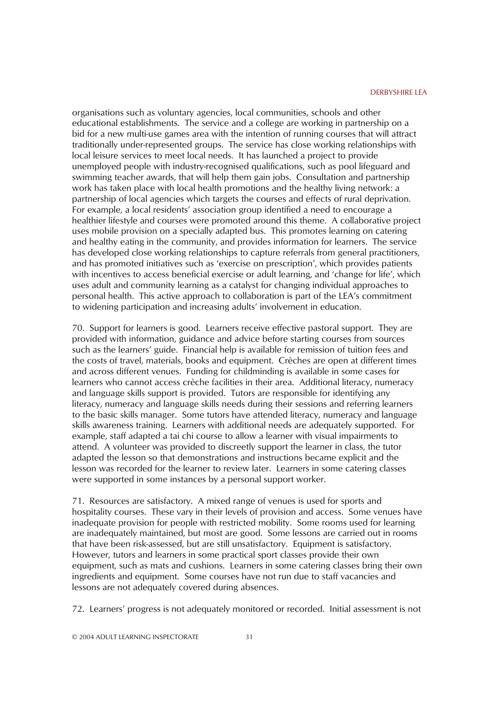organisations such as voluntary agencies, local communities, schools and other educational establishments. The service and a college are working in partnership on a bid for a new multi-use games area with the intention of running courses that will attract traditionally under-represented groups. The service has close working relationships with local leisure services to meet local needs. It has launched a project to provide unemployed people with industry-recognised qualifications, such as pool lifeguard and swimming teacher awards, that will help them gain jobs. Consultation and partnership work has taken place with local health promotions and the healthy living network: a partnership of local agencies which targets the courses and effects of rural deprivation. For example, a local residentsí association group identified a need to encourage a healthier lifestyle and courses were promoted around this theme. A collaborative project uses mobile provision on a specially adapted bus. This promotes learning on catering and healthy eating in the community, and provides information for learners. The service has developed close working relationships to capture referrals from general practitioners, and has promoted initiatives such as 'exercise on prescription', which provides patients with incentives to access beneficial exercise or adult learning, and 'change for life', which uses adult and community learning as a catalyst for changing individual approaches to personal health. This active approach to collaboration is part of the LEA's commitment to widening participation and increasing adults' involvement in education.

70. Support for learners is good. Learners receive effective pastoral support. They are provided with information, guidance and advice before starting courses from sources such as the learners' guide. Financial help is available for remission of tuition fees and the costs of travel, materials, books and equipment. Crèches are open at different times and across different venues. Funding for childminding is available in some cases for learners who cannot access crèche facilities in their area. Additional literacy, numeracy and language skills support is provided. Tutors are responsible for identifying any literacy, numeracy and language skills needs during their sessions and referring learners to the basic skills manager. Some tutors have attended literacy, numeracy and language skills awareness training. Learners with additional needs are adequately supported. For example, staff adapted a tai chi course to allow a learner with visual impairments to attend. A volunteer was provided to discreetly support the learner in class, the tutor adapted the lesson so that demonstrations and instructions became explicit and the lesson was recorded for the learner to review later. Learners in some catering classes were supported in some instances by a personal support worker.

71. Resources are satisfactory. A mixed range of venues is used for sports and hospitality courses. These vary in their levels of provision and access. Some venues have inadequate provision for people with restricted mobility. Some rooms used for learning are inadequately maintained, but most are good. Some lessons are carried out in rooms that have been risk-assessed, but are still unsatisfactory. Equipment is satisfactory. However, tutors and learners in some practical sport classes provide their own equipment, such as mats and cushions. Learners in some catering classes bring their own ingredients and equipment. Some courses have not run due to staff vacancies and lessons are not adequately covered during absences.

72. Learnersí progress is not adequately monitored or recorded. Initial assessment is not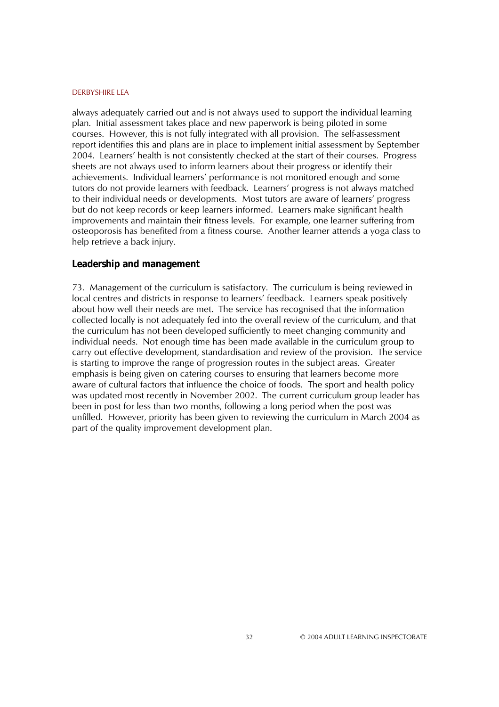always adequately carried out and is not always used to support the individual learning plan. Initial assessment takes place and new paperwork is being piloted in some courses. However, this is not fully integrated with all provision. The self-assessment report identifies this and plans are in place to implement initial assessment by September 2004. Learnersí health is not consistently checked at the start of their courses. Progress sheets are not always used to inform learners about their progress or identify their achievements. Individual learners' performance is not monitored enough and some tutors do not provide learners with feedback. Learnersí progress is not always matched to their individual needs or developments. Most tutors are aware of learnersí progress but do not keep records or keep learners informed. Learners make significant health improvements and maintain their fitness levels. For example, one learner suffering from osteoporosis has benefited from a fitness course. Another learner attends a yoga class to help retrieve a back injury.

#### **Leadership and management**

73. Management of the curriculum is satisfactory. The curriculum is being reviewed in local centres and districts in response to learners' feedback. Learners speak positively about how well their needs are met. The service has recognised that the information collected locally is not adequately fed into the overall review of the curriculum, and that the curriculum has not been developed sufficiently to meet changing community and individual needs. Not enough time has been made available in the curriculum group to carry out effective development, standardisation and review of the provision. The service is starting to improve the range of progression routes in the subject areas. Greater emphasis is being given on catering courses to ensuring that learners become more aware of cultural factors that influence the choice of foods. The sport and health policy was updated most recently in November 2002. The current curriculum group leader has been in post for less than two months, following a long period when the post was unfilled. However, priority has been given to reviewing the curriculum in March 2004 as part of the quality improvement development plan.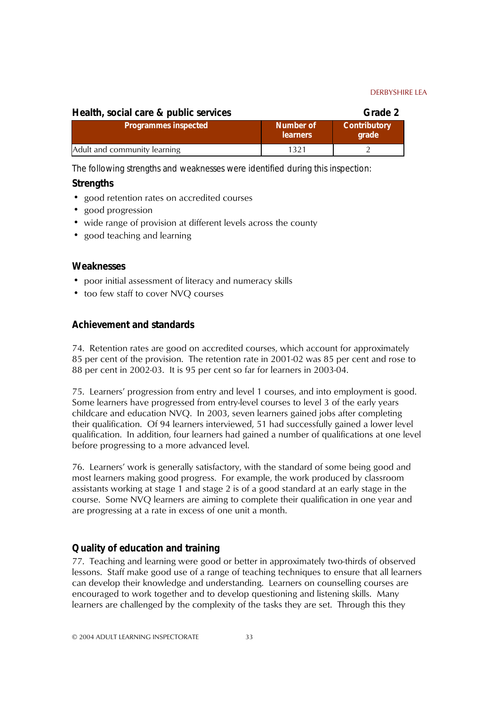| Health, social care & public services |                              | Grade 2                      |
|---------------------------------------|------------------------------|------------------------------|
| <b>Programmes inspected</b>           | Number of<br><b>learners</b> | <b>Contributory</b><br>grade |
| Adult and community learning          | 1321                         |                              |

*The following strengths and weaknesses were identified during this inspection:*

### **Strengths**

- ! good retention rates on accredited courses
- good progression
- wide range of provision at different levels across the county
- good teaching and learning

#### **Weaknesses**

- ! poor initial assessment of literacy and numeracy skills
- too few staff to cover NVO courses

### **Achievement and standards**

74. Retention rates are good on accredited courses, which account for approximately 85 per cent of the provision. The retention rate in 2001-02 was 85 per cent and rose to 88 per cent in 2002-03. It is 95 per cent so far for learners in 2003-04.

75. Learnersí progression from entry and level 1 courses, and into employment is good. Some learners have progressed from entry-level courses to level 3 of the early years childcare and education NVQ. In 2003, seven learners gained jobs after completing their qualification. Of 94 learners interviewed, 51 had successfully gained a lower level qualification. In addition, four learners had gained a number of qualifications at one level before progressing to a more advanced level.

76. Learnersí work is generally satisfactory, with the standard of some being good and most learners making good progress. For example, the work produced by classroom assistants working at stage 1 and stage 2 is of a good standard at an early stage in the course. Some NVQ learners are aiming to complete their qualification in one year and are progressing at a rate in excess of one unit a month.

### **Quality of education and training**

77. Teaching and learning were good or better in approximately two-thirds of observed lessons. Staff make good use of a range of teaching techniques to ensure that all learners can develop their knowledge and understanding. Learners on counselling courses are encouraged to work together and to develop questioning and listening skills. Many learners are challenged by the complexity of the tasks they are set. Through this they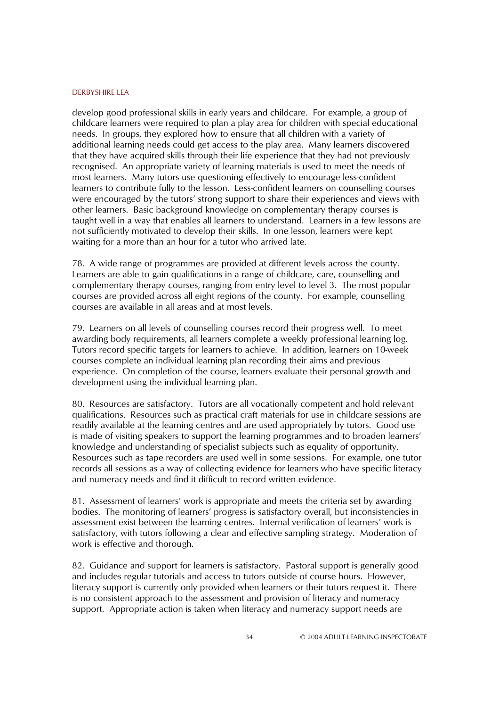develop good professional skills in early years and childcare. For example, a group of childcare learners were required to plan a play area for children with special educational needs. In groups, they explored how to ensure that all children with a variety of additional learning needs could get access to the play area. Many learners discovered that they have acquired skills through their life experience that they had not previously recognised. An appropriate variety of learning materials is used to meet the needs of most learners. Many tutors use questioning effectively to encourage less-confident learners to contribute fully to the lesson. Less-confident learners on counselling courses were encouraged by the tutors' strong support to share their experiences and views with other learners. Basic background knowledge on complementary therapy courses is taught well in a way that enables all learners to understand. Learners in a few lessons are not sufficiently motivated to develop their skills. In one lesson, learners were kept waiting for a more than an hour for a tutor who arrived late.

78. A wide range of programmes are provided at different levels across the county. Learners are able to gain qualifications in a range of childcare, care, counselling and complementary therapy courses, ranging from entry level to level 3. The most popular courses are provided across all eight regions of the county. For example, counselling courses are available in all areas and at most levels.

79. Learners on all levels of counselling courses record their progress well. To meet awarding body requirements, all learners complete a weekly professional learning log. Tutors record specific targets for learners to achieve. In addition, learners on 10-week courses complete an individual learning plan recording their aims and previous experience. On completion of the course, learners evaluate their personal growth and development using the individual learning plan.

80. Resources are satisfactory. Tutors are all vocationally competent and hold relevant qualifications. Resources such as practical craft materials for use in childcare sessions are readily available at the learning centres and are used appropriately by tutors. Good use is made of visiting speakers to support the learning programmes and to broaden learners' knowledge and understanding of specialist subjects such as equality of opportunity. Resources such as tape recorders are used well in some sessions. For example, one tutor records all sessions as a way of collecting evidence for learners who have specific literacy and numeracy needs and find it difficult to record written evidence.

81. Assessment of learnersí work is appropriate and meets the criteria set by awarding bodies. The monitoring of learners' progress is satisfactory overall, but inconsistencies in assessment exist between the learning centres. Internal verification of learners' work is satisfactory, with tutors following a clear and effective sampling strategy. Moderation of work is effective and thorough.

82. Guidance and support for learners is satisfactory. Pastoral support is generally good and includes regular tutorials and access to tutors outside of course hours. However, literacy support is currently only provided when learners or their tutors request it. There is no consistent approach to the assessment and provision of literacy and numeracy support. Appropriate action is taken when literacy and numeracy support needs are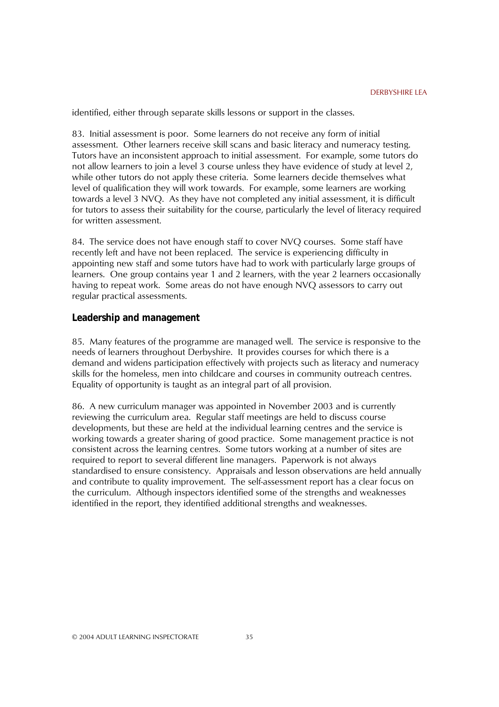identified, either through separate skills lessons or support in the classes.

83. Initial assessment is poor. Some learners do not receive any form of initial assessment. Other learners receive skill scans and basic literacy and numeracy testing. Tutors have an inconsistent approach to initial assessment. For example, some tutors do not allow learners to join a level 3 course unless they have evidence of study at level 2, while other tutors do not apply these criteria. Some learners decide themselves what level of qualification they will work towards. For example, some learners are working towards a level 3 NVQ. As they have not completed any initial assessment, it is difficult for tutors to assess their suitability for the course, particularly the level of literacy required for written assessment.

84. The service does not have enough staff to cover NVQ courses. Some staff have recently left and have not been replaced. The service is experiencing difficulty in appointing new staff and some tutors have had to work with particularly large groups of learners. One group contains year 1 and 2 learners, with the year 2 learners occasionally having to repeat work. Some areas do not have enough NVQ assessors to carry out regular practical assessments.

#### **Leadership and management**

85. Many features of the programme are managed well. The service is responsive to the needs of learners throughout Derbyshire. It provides courses for which there is a demand and widens participation effectively with projects such as literacy and numeracy skills for the homeless, men into childcare and courses in community outreach centres. Equality of opportunity is taught as an integral part of all provision.

86. A new curriculum manager was appointed in November 2003 and is currently reviewing the curriculum area. Regular staff meetings are held to discuss course developments, but these are held at the individual learning centres and the service is working towards a greater sharing of good practice. Some management practice is not consistent across the learning centres. Some tutors working at a number of sites are required to report to several different line managers. Paperwork is not always standardised to ensure consistency. Appraisals and lesson observations are held annually and contribute to quality improvement. The self-assessment report has a clear focus on the curriculum. Although inspectors identified some of the strengths and weaknesses identified in the report, they identified additional strengths and weaknesses.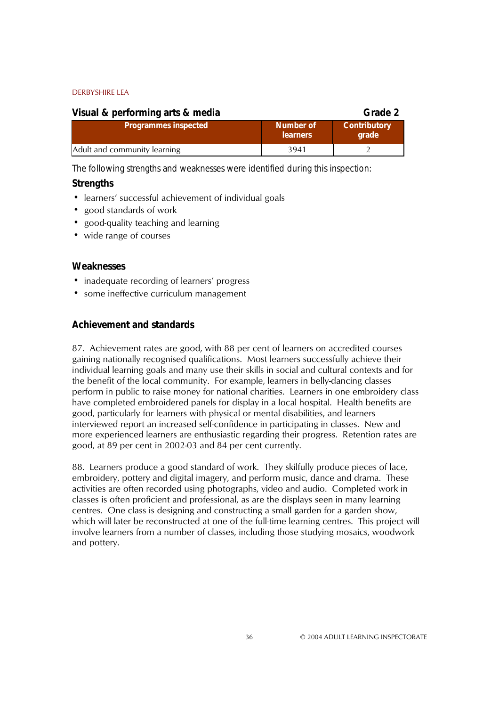| Visual & performing arts & media |                              | Grade 2                      |
|----------------------------------|------------------------------|------------------------------|
| <b>Programmes inspected</b>      | Number of<br><b>learners</b> | <b>Contributory</b><br>grade |
| Adult and community learning     | 3941                         |                              |

*The following strengths and weaknesses were identified during this inspection:*

### **Strengths**

- learners' successful achievement of individual goals
- good standards of work
- good-quality teaching and learning
- wide range of courses

#### **Weaknesses**

- inadequate recording of learners' progress
- some ineffective curriculum management

### **Achievement and standards**

87. Achievement rates are good, with 88 per cent of learners on accredited courses gaining nationally recognised qualifications. Most learners successfully achieve their individual learning goals and many use their skills in social and cultural contexts and for the benefit of the local community. For example, learners in belly-dancing classes perform in public to raise money for national charities. Learners in one embroidery class have completed embroidered panels for display in a local hospital. Health benefits are good, particularly for learners with physical or mental disabilities, and learners interviewed report an increased self-confidence in participating in classes. New and more experienced learners are enthusiastic regarding their progress. Retention rates are good, at 89 per cent in 2002-03 and 84 per cent currently.

88. Learners produce a good standard of work. They skilfully produce pieces of lace, embroidery, pottery and digital imagery, and perform music, dance and drama. These activities are often recorded using photographs, video and audio. Completed work in classes is often proficient and professional, as are the displays seen in many learning centres. One class is designing and constructing a small garden for a garden show, which will later be reconstructed at one of the full-time learning centres. This project will involve learners from a number of classes, including those studying mosaics, woodwork and pottery.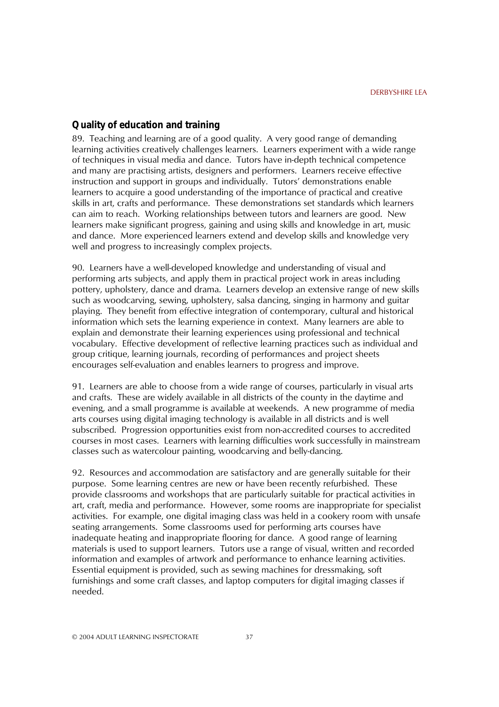### **Quality of education and training**

89. Teaching and learning are of a good quality. A very good range of demanding learning activities creatively challenges learners. Learners experiment with a wide range of techniques in visual media and dance. Tutors have in-depth technical competence and many are practising artists, designers and performers. Learners receive effective instruction and support in groups and individually. Tutors' demonstrations enable learners to acquire a good understanding of the importance of practical and creative skills in art, crafts and performance. These demonstrations set standards which learners can aim to reach. Working relationships between tutors and learners are good. New learners make significant progress, gaining and using skills and knowledge in art, music and dance. More experienced learners extend and develop skills and knowledge very well and progress to increasingly complex projects.

90. Learners have a well-developed knowledge and understanding of visual and performing arts subjects, and apply them in practical project work in areas including pottery, upholstery, dance and drama. Learners develop an extensive range of new skills such as woodcarving, sewing, upholstery, salsa dancing, singing in harmony and guitar playing. They benefit from effective integration of contemporary, cultural and historical information which sets the learning experience in context. Many learners are able to explain and demonstrate their learning experiences using professional and technical vocabulary. Effective development of reflective learning practices such as individual and group critique, learning journals, recording of performances and project sheets encourages self-evaluation and enables learners to progress and improve.

91. Learners are able to choose from a wide range of courses, particularly in visual arts and crafts. These are widely available in all districts of the county in the daytime and evening, and a small programme is available at weekends. A new programme of media arts courses using digital imaging technology is available in all districts and is well subscribed. Progression opportunities exist from non-accredited courses to accredited courses in most cases. Learners with learning difficulties work successfully in mainstream classes such as watercolour painting, woodcarving and belly-dancing.

92. Resources and accommodation are satisfactory and are generally suitable for their purpose. Some learning centres are new or have been recently refurbished. These provide classrooms and workshops that are particularly suitable for practical activities in art, craft, media and performance. However, some rooms are inappropriate for specialist activities. For example, one digital imaging class was held in a cookery room with unsafe seating arrangements. Some classrooms used for performing arts courses have inadequate heating and inappropriate flooring for dance. A good range of learning materials is used to support learners. Tutors use a range of visual, written and recorded information and examples of artwork and performance to enhance learning activities. Essential equipment is provided, such as sewing machines for dressmaking, soft furnishings and some craft classes, and laptop computers for digital imaging classes if needed.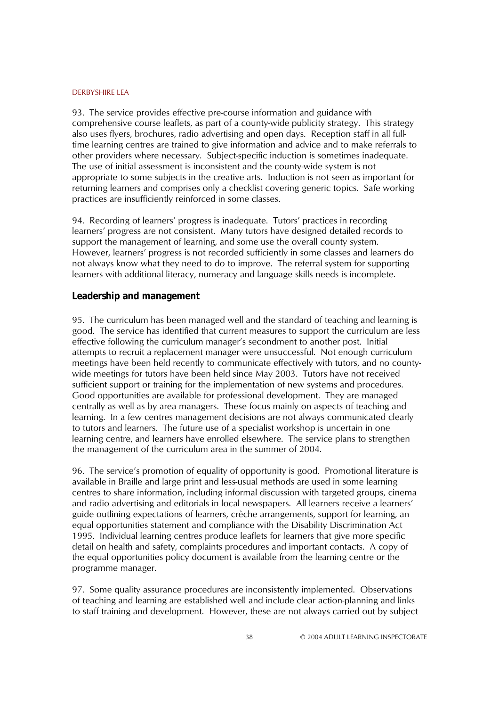93. The service provides effective pre-course information and guidance with comprehensive course leaflets, as part of a county-wide publicity strategy. This strategy also uses flyers, brochures, radio advertising and open days. Reception staff in all fulltime learning centres are trained to give information and advice and to make referrals to other providers where necessary. Subject-specific induction is sometimes inadequate. The use of initial assessment is inconsistent and the county-wide system is not appropriate to some subjects in the creative arts. Induction is not seen as important for returning learners and comprises only a checklist covering generic topics. Safe working practices are insufficiently reinforced in some classes.

94. Recording of learnersí progress is inadequate. Tutorsí practices in recording learnersí progress are not consistent. Many tutors have designed detailed records to support the management of learning, and some use the overall county system. However, learners' progress is not recorded sufficiently in some classes and learners do not always know what they need to do to improve. The referral system for supporting learners with additional literacy, numeracy and language skills needs is incomplete.

#### **Leadership and management**

95. The curriculum has been managed well and the standard of teaching and learning is good. The service has identified that current measures to support the curriculum are less effective following the curriculum manager's secondment to another post. Initial attempts to recruit a replacement manager were unsuccessful. Not enough curriculum meetings have been held recently to communicate effectively with tutors, and no countywide meetings for tutors have been held since May 2003. Tutors have not received sufficient support or training for the implementation of new systems and procedures. Good opportunities are available for professional development. They are managed centrally as well as by area managers. These focus mainly on aspects of teaching and learning. In a few centres management decisions are not always communicated clearly to tutors and learners. The future use of a specialist workshop is uncertain in one learning centre, and learners have enrolled elsewhere. The service plans to strengthen the management of the curriculum area in the summer of 2004.

96. The serviceís promotion of equality of opportunity is good. Promotional literature is available in Braille and large print and less-usual methods are used in some learning centres to share information, including informal discussion with targeted groups, cinema and radio advertising and editorials in local newspapers. All learners receive a learners' guide outlining expectations of learners, crèche arrangements, support for learning, an equal opportunities statement and compliance with the Disability Discrimination Act 1995. Individual learning centres produce leaflets for learners that give more specific detail on health and safety, complaints procedures and important contacts. A copy of the equal opportunities policy document is available from the learning centre or the programme manager.

97. Some quality assurance procedures are inconsistently implemented. Observations of teaching and learning are established well and include clear action-planning and links to staff training and development. However, these are not always carried out by subject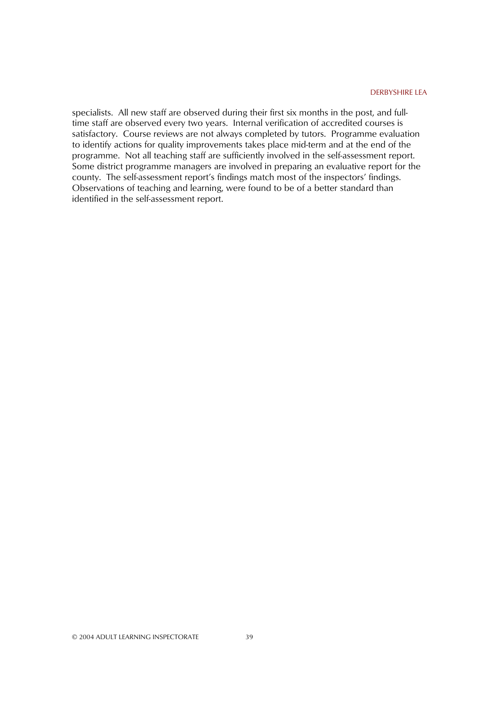specialists. All new staff are observed during their first six months in the post, and fulltime staff are observed every two years. Internal verification of accredited courses is satisfactory. Course reviews are not always completed by tutors. Programme evaluation to identify actions for quality improvements takes place mid-term and at the end of the programme. Not all teaching staff are sufficiently involved in the self-assessment report. Some district programme managers are involved in preparing an evaluative report for the county. The self-assessment report's findings match most of the inspectors' findings. Observations of teaching and learning, were found to be of a better standard than identified in the self-assessment report.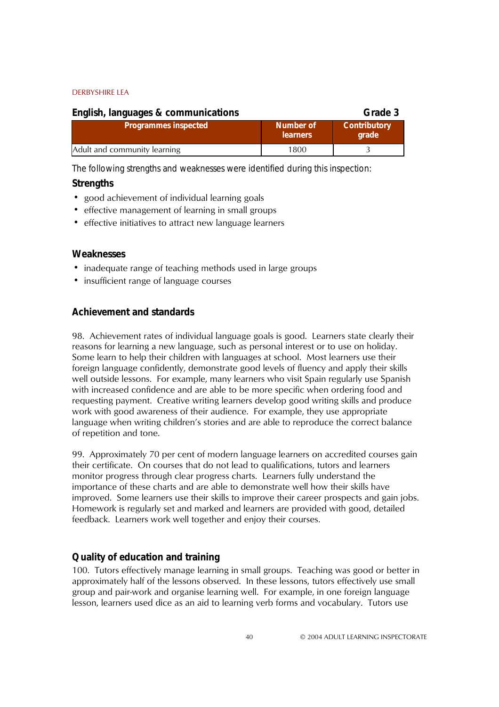| English, languages & communications |                              | Grade 3                      |
|-------------------------------------|------------------------------|------------------------------|
| <b>Programmes inspected</b>         | Number of<br><b>learners</b> | <b>Contributory</b><br>grade |
| Adult and community learning        | 1800                         |                              |

*The following strengths and weaknesses were identified during this inspection:*

### **Strengths**

- ! good achievement of individual learning goals
- effective management of learning in small groups
- effective initiatives to attract new language learners

### **Weaknesses**

- inadequate range of teaching methods used in large groups
- insufficient range of language courses

### **Achievement and standards**

98. Achievement rates of individual language goals is good. Learners state clearly their reasons for learning a new language, such as personal interest or to use on holiday. Some learn to help their children with languages at school. Most learners use their foreign language confidently, demonstrate good levels of fluency and apply their skills well outside lessons. For example, many learners who visit Spain regularly use Spanish with increased confidence and are able to be more specific when ordering food and requesting payment. Creative writing learners develop good writing skills and produce work with good awareness of their audience. For example, they use appropriate language when writing children's stories and are able to reproduce the correct balance of repetition and tone.

99. Approximately 70 per cent of modern language learners on accredited courses gain their certificate. On courses that do not lead to qualifications, tutors and learners monitor progress through clear progress charts. Learners fully understand the importance of these charts and are able to demonstrate well how their skills have improved. Some learners use their skills to improve their career prospects and gain jobs. Homework is regularly set and marked and learners are provided with good, detailed feedback. Learners work well together and enjoy their courses.

### **Quality of education and training**

100. Tutors effectively manage learning in small groups. Teaching was good or better in approximately half of the lessons observed. In these lessons, tutors effectively use small group and pair-work and organise learning well. For example, in one foreign language lesson, learners used dice as an aid to learning verb forms and vocabulary. Tutors use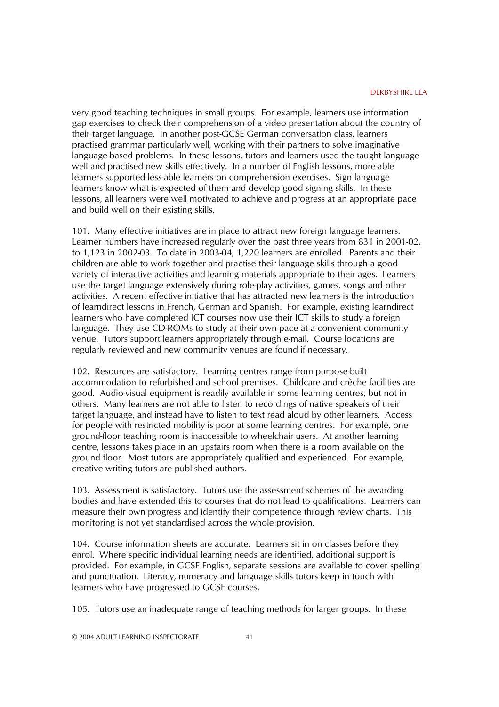very good teaching techniques in small groups. For example, learners use information gap exercises to check their comprehension of a video presentation about the country of their target language. In another post-GCSE German conversation class, learners practised grammar particularly well, working with their partners to solve imaginative language-based problems. In these lessons, tutors and learners used the taught language well and practised new skills effectively. In a number of English lessons, more-able learners supported less-able learners on comprehension exercises. Sign language learners know what is expected of them and develop good signing skills. In these lessons, all learners were well motivated to achieve and progress at an appropriate pace and build well on their existing skills.

101. Many effective initiatives are in place to attract new foreign language learners. Learner numbers have increased regularly over the past three years from 831 in 2001-02, to 1,123 in 2002-03. To date in 2003-04, 1,220 learners are enrolled. Parents and their children are able to work together and practise their language skills through a good variety of interactive activities and learning materials appropriate to their ages. Learners use the target language extensively during role-play activities, games, songs and other activities. A recent effective initiative that has attracted new learners is the introduction of learndirect lessons in French, German and Spanish. For example, existing learndirect learners who have completed ICT courses now use their ICT skills to study a foreign language. They use CD-ROMs to study at their own pace at a convenient community venue. Tutors support learners appropriately through e-mail. Course locations are regularly reviewed and new community venues are found if necessary.

102. Resources are satisfactory. Learning centres range from purpose-built accommodation to refurbished and school premises. Childcare and crèche facilities are good. Audio-visual equipment is readily available in some learning centres, but not in others. Many learners are not able to listen to recordings of native speakers of their target language, and instead have to listen to text read aloud by other learners. Access for people with restricted mobility is poor at some learning centres. For example, one ground-floor teaching room is inaccessible to wheelchair users. At another learning centre, lessons takes place in an upstairs room when there is a room available on the ground floor. Most tutors are appropriately qualified and experienced. For example, creative writing tutors are published authors.

103. Assessment is satisfactory. Tutors use the assessment schemes of the awarding bodies and have extended this to courses that do not lead to qualifications. Learners can measure their own progress and identify their competence through review charts. This monitoring is not yet standardised across the whole provision.

104. Course information sheets are accurate. Learners sit in on classes before they enrol. Where specific individual learning needs are identified, additional support is provided. For example, in GCSE English, separate sessions are available to cover spelling and punctuation. Literacy, numeracy and language skills tutors keep in touch with learners who have progressed to GCSE courses.

105. Tutors use an inadequate range of teaching methods for larger groups. In these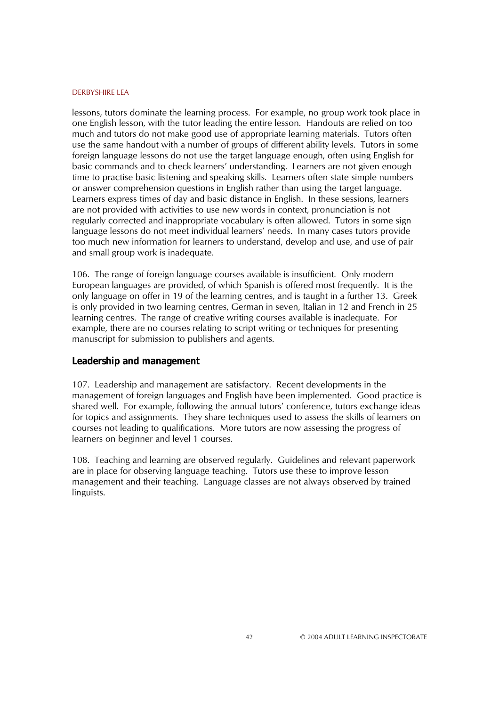lessons, tutors dominate the learning process. For example, no group work took place in one English lesson, with the tutor leading the entire lesson. Handouts are relied on too much and tutors do not make good use of appropriate learning materials. Tutors often use the same handout with a number of groups of different ability levels. Tutors in some foreign language lessons do not use the target language enough, often using English for basic commands and to check learnersí understanding. Learners are not given enough time to practise basic listening and speaking skills. Learners often state simple numbers or answer comprehension questions in English rather than using the target language. Learners express times of day and basic distance in English. In these sessions, learners are not provided with activities to use new words in context, pronunciation is not regularly corrected and inappropriate vocabulary is often allowed. Tutors in some sign language lessons do not meet individual learnersí needs. In many cases tutors provide too much new information for learners to understand, develop and use, and use of pair and small group work is inadequate.

106. The range of foreign language courses available is insufficient. Only modern European languages are provided, of which Spanish is offered most frequently. It is the only language on offer in 19 of the learning centres, and is taught in a further 13. Greek is only provided in two learning centres, German in seven, Italian in 12 and French in 25 learning centres. The range of creative writing courses available is inadequate. For example, there are no courses relating to script writing or techniques for presenting manuscript for submission to publishers and agents.

#### **Leadership and management**

107. Leadership and management are satisfactory. Recent developments in the management of foreign languages and English have been implemented. Good practice is shared well. For example, following the annual tutors' conference, tutors exchange ideas for topics and assignments. They share techniques used to assess the skills of learners on courses not leading to qualifications. More tutors are now assessing the progress of learners on beginner and level 1 courses.

108. Teaching and learning are observed regularly. Guidelines and relevant paperwork are in place for observing language teaching. Tutors use these to improve lesson management and their teaching. Language classes are not always observed by trained linguists.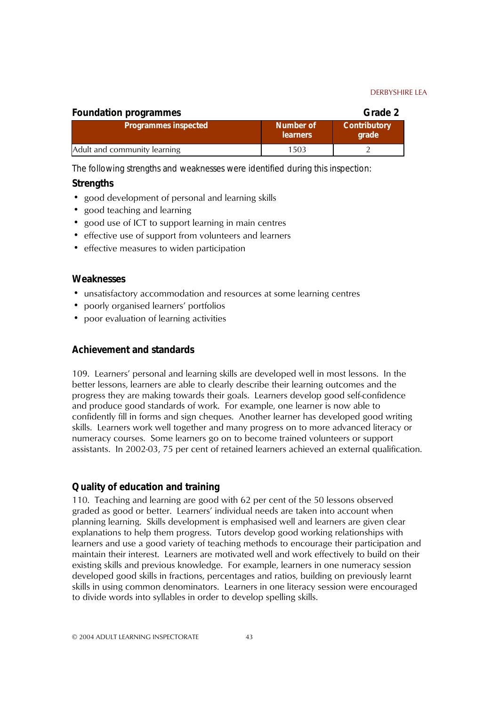| <b>Foundation programmes</b> |                              | Grade 2                      |
|------------------------------|------------------------------|------------------------------|
| <b>Programmes inspected</b>  | Number of<br><b>learners</b> | <b>Contributory</b><br>grade |
| Adult and community learning | 1503                         |                              |

*The following strengths and weaknesses were identified during this inspection:*

### **Strengths**

- good development of personal and learning skills
- good teaching and learning
- good use of ICT to support learning in main centres
- ! effective use of support from volunteers and learners
- effective measures to widen participation

#### **Weaknesses**

- ! unsatisfactory accommodation and resources at some learning centres
- poorly organised learners' portfolios
- ! poor evaluation of learning activities

### **Achievement and standards**

109. Learnersí personal and learning skills are developed well in most lessons. In the better lessons, learners are able to clearly describe their learning outcomes and the progress they are making towards their goals. Learners develop good self-confidence and produce good standards of work. For example, one learner is now able to confidently fill in forms and sign cheques. Another learner has developed good writing skills. Learners work well together and many progress on to more advanced literacy or numeracy courses. Some learners go on to become trained volunteers or support assistants. In 2002-03, 75 per cent of retained learners achieved an external qualification.

### **Quality of education and training**

110. Teaching and learning are good with 62 per cent of the 50 lessons observed graded as good or better. Learnersí individual needs are taken into account when planning learning. Skills development is emphasised well and learners are given clear explanations to help them progress. Tutors develop good working relationships with learners and use a good variety of teaching methods to encourage their participation and maintain their interest. Learners are motivated well and work effectively to build on their existing skills and previous knowledge. For example, learners in one numeracy session developed good skills in fractions, percentages and ratios, building on previously learnt skills in using common denominators. Learners in one literacy session were encouraged to divide words into syllables in order to develop spelling skills.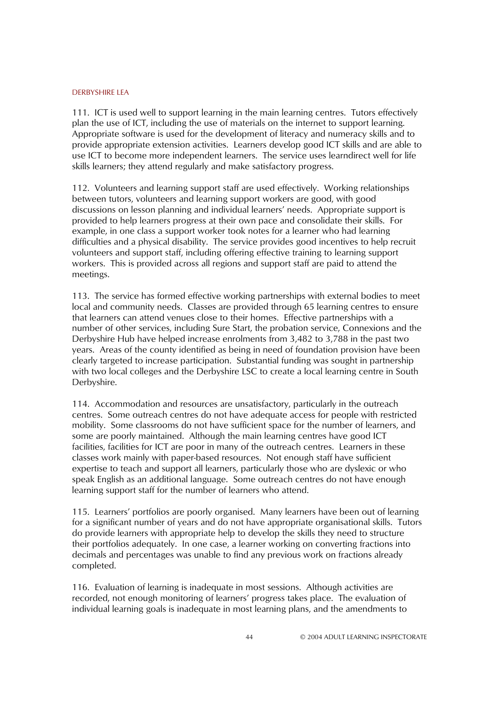111. ICT is used well to support learning in the main learning centres. Tutors effectively plan the use of ICT, including the use of materials on the internet to support learning. Appropriate software is used for the development of literacy and numeracy skills and to provide appropriate extension activities. Learners develop good ICT skills and are able to use ICT to become more independent learners. The service uses learndirect well for life skills learners; they attend regularly and make satisfactory progress.

112. Volunteers and learning support staff are used effectively. Working relationships between tutors, volunteers and learning support workers are good, with good discussions on lesson planning and individual learnersí needs. Appropriate support is provided to help learners progress at their own pace and consolidate their skills. For example, in one class a support worker took notes for a learner who had learning difficulties and a physical disability. The service provides good incentives to help recruit volunteers and support staff, including offering effective training to learning support workers. This is provided across all regions and support staff are paid to attend the meetings.

113. The service has formed effective working partnerships with external bodies to meet local and community needs. Classes are provided through 65 learning centres to ensure that learners can attend venues close to their homes. Effective partnerships with a number of other services, including Sure Start, the probation service, Connexions and the Derbyshire Hub have helped increase enrolments from 3,482 to 3,788 in the past two years. Areas of the county identified as being in need of foundation provision have been clearly targeted to increase participation. Substantial funding was sought in partnership with two local colleges and the Derbyshire LSC to create a local learning centre in South Derbyshire.

114. Accommodation and resources are unsatisfactory, particularly in the outreach centres. Some outreach centres do not have adequate access for people with restricted mobility. Some classrooms do not have sufficient space for the number of learners, and some are poorly maintained. Although the main learning centres have good ICT facilities, facilities for ICT are poor in many of the outreach centres. Learners in these classes work mainly with paper-based resources. Not enough staff have sufficient expertise to teach and support all learners, particularly those who are dyslexic or who speak English as an additional language. Some outreach centres do not have enough learning support staff for the number of learners who attend.

115. Learners' portfolios are poorly organised. Many learners have been out of learning for a significant number of years and do not have appropriate organisational skills. Tutors do provide learners with appropriate help to develop the skills they need to structure their portfolios adequately. In one case, a learner working on converting fractions into decimals and percentages was unable to find any previous work on fractions already completed.

116. Evaluation of learning is inadequate in most sessions. Although activities are recorded, not enough monitoring of learnersí progress takes place. The evaluation of individual learning goals is inadequate in most learning plans, and the amendments to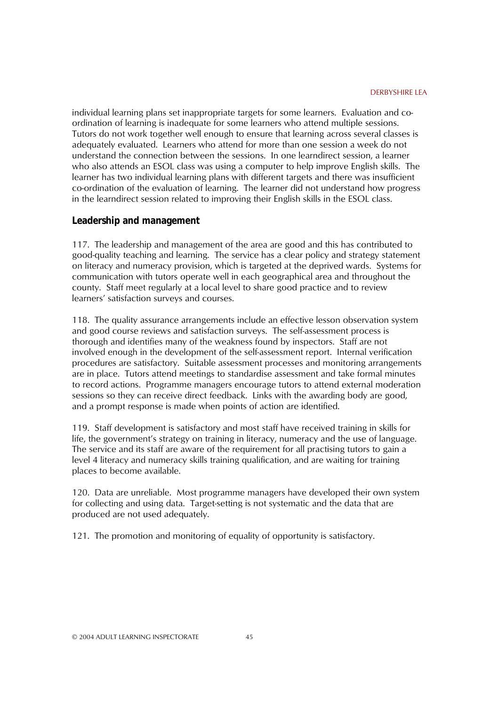individual learning plans set inappropriate targets for some learners. Evaluation and coordination of learning is inadequate for some learners who attend multiple sessions. Tutors do not work together well enough to ensure that learning across several classes is adequately evaluated. Learners who attend for more than one session a week do not understand the connection between the sessions. In one learndirect session, a learner who also attends an ESOL class was using a computer to help improve English skills. The learner has two individual learning plans with different targets and there was insufficient co-ordination of the evaluation of learning. The learner did not understand how progress in the learndirect session related to improving their English skills in the ESOL class.

#### **Leadership and management**

117. The leadership and management of the area are good and this has contributed to good-quality teaching and learning. The service has a clear policy and strategy statement on literacy and numeracy provision, which is targeted at the deprived wards. Systems for communication with tutors operate well in each geographical area and throughout the county. Staff meet regularly at a local level to share good practice and to review learners' satisfaction surveys and courses.

118. The quality assurance arrangements include an effective lesson observation system and good course reviews and satisfaction surveys. The self-assessment process is thorough and identifies many of the weakness found by inspectors. Staff are not involved enough in the development of the self-assessment report. Internal verification procedures are satisfactory. Suitable assessment processes and monitoring arrangements are in place. Tutors attend meetings to standardise assessment and take formal minutes to record actions. Programme managers encourage tutors to attend external moderation sessions so they can receive direct feedback. Links with the awarding body are good, and a prompt response is made when points of action are identified.

119. Staff development is satisfactory and most staff have received training in skills for life, the government's strategy on training in literacy, numeracy and the use of language. The service and its staff are aware of the requirement for all practising tutors to gain a level 4 literacy and numeracy skills training qualification, and are waiting for training places to become available.

120. Data are unreliable. Most programme managers have developed their own system for collecting and using data. Target-setting is not systematic and the data that are produced are not used adequately.

121. The promotion and monitoring of equality of opportunity is satisfactory.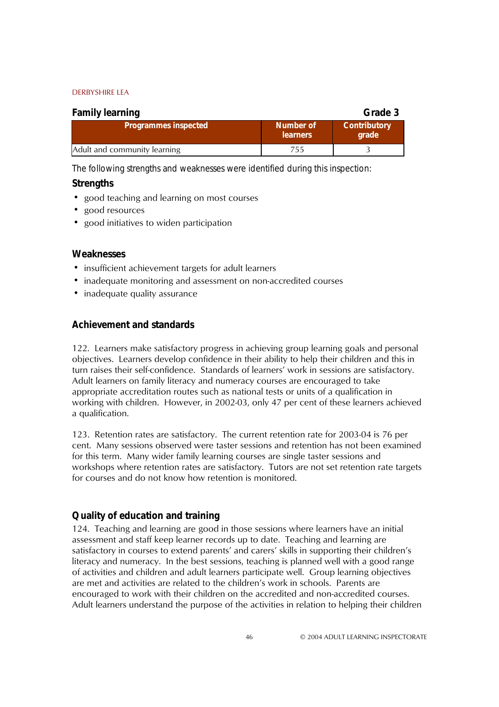| <b>Family learning</b><br>Grade 3 |                              |                              |  |
|-----------------------------------|------------------------------|------------------------------|--|
| <b>Programmes inspected</b>       | Number of<br><b>learners</b> | <b>Contributory</b><br>grade |  |
| Adult and community learning      | 755.                         |                              |  |

*The following strengths and weaknesses were identified during this inspection:*

### **Strengths**

- good teaching and learning on most courses
- good resources
- good initiatives to widen participation

### **Weaknesses**

- ! insufficient achievement targets for adult learners
- inadequate monitoring and assessment on non-accredited courses
- inadequate quality assurance

### **Achievement and standards**

122. Learners make satisfactory progress in achieving group learning goals and personal objectives. Learners develop confidence in their ability to help their children and this in turn raises their self-confidence. Standards of learnersí work in sessions are satisfactory. Adult learners on family literacy and numeracy courses are encouraged to take appropriate accreditation routes such as national tests or units of a qualification in working with children. However, in 2002-03, only 47 per cent of these learners achieved a qualification.

123. Retention rates are satisfactory. The current retention rate for 2003-04 is 76 per cent. Many sessions observed were taster sessions and retention has not been examined for this term. Many wider family learning courses are single taster sessions and workshops where retention rates are satisfactory. Tutors are not set retention rate targets for courses and do not know how retention is monitored.

### **Quality of education and training**

124. Teaching and learning are good in those sessions where learners have an initial assessment and staff keep learner records up to date. Teaching and learning are satisfactory in courses to extend parents' and carers' skills in supporting their children's literacy and numeracy. In the best sessions, teaching is planned well with a good range of activities and children and adult learners participate well. Group learning objectives are met and activities are related to the children's work in schools. Parents are encouraged to work with their children on the accredited and non-accredited courses. Adult learners understand the purpose of the activities in relation to helping their children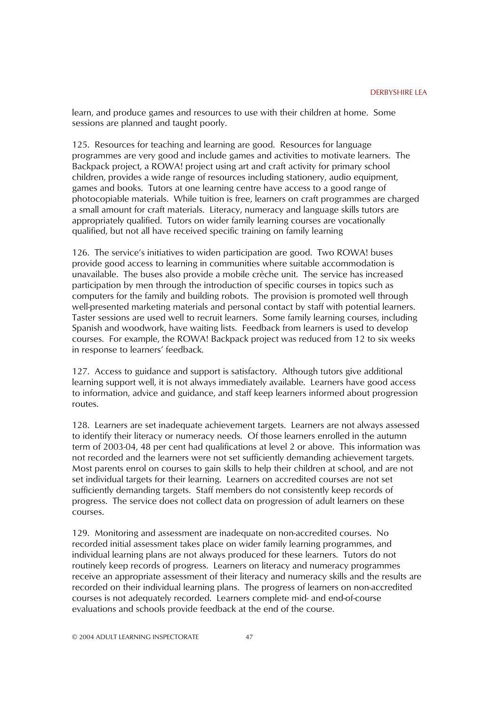learn, and produce games and resources to use with their children at home. Some sessions are planned and taught poorly.

125. Resources for teaching and learning are good. Resources for language programmes are very good and include games and activities to motivate learners. The Backpack project, a ROWA! project using art and craft activity for primary school children, provides a wide range of resources including stationery, audio equipment, games and books. Tutors at one learning centre have access to a good range of photocopiable materials. While tuition is free, learners on craft programmes are charged a small amount for craft materials. Literacy, numeracy and language skills tutors are appropriately qualified. Tutors on wider family learning courses are vocationally qualified, but not all have received specific training on family learning

126. The service's initiatives to widen participation are good. Two ROWA! buses provide good access to learning in communities where suitable accommodation is unavailable. The buses also provide a mobile crèche unit. The service has increased participation by men through the introduction of specific courses in topics such as computers for the family and building robots. The provision is promoted well through well-presented marketing materials and personal contact by staff with potential learners. Taster sessions are used well to recruit learners. Some family learning courses, including Spanish and woodwork, have waiting lists. Feedback from learners is used to develop courses. For example, the ROWA! Backpack project was reduced from 12 to six weeks in response to learners' feedback.

127. Access to guidance and support is satisfactory. Although tutors give additional learning support well, it is not always immediately available. Learners have good access to information, advice and guidance, and staff keep learners informed about progression routes.

128. Learners are set inadequate achievement targets. Learners are not always assessed to identify their literacy or numeracy needs. Of those learners enrolled in the autumn term of 2003-04, 48 per cent had qualifications at level 2 or above. This information was not recorded and the learners were not set sufficiently demanding achievement targets. Most parents enrol on courses to gain skills to help their children at school, and are not set individual targets for their learning. Learners on accredited courses are not set sufficiently demanding targets. Staff members do not consistently keep records of progress. The service does not collect data on progression of adult learners on these courses.

129. Monitoring and assessment are inadequate on non-accredited courses. No recorded initial assessment takes place on wider family learning programmes, and individual learning plans are not always produced for these learners. Tutors do not routinely keep records of progress. Learners on literacy and numeracy programmes receive an appropriate assessment of their literacy and numeracy skills and the results are recorded on their individual learning plans. The progress of learners on non-accredited courses is not adequately recorded. Learners complete mid- and end-of-course evaluations and schools provide feedback at the end of the course.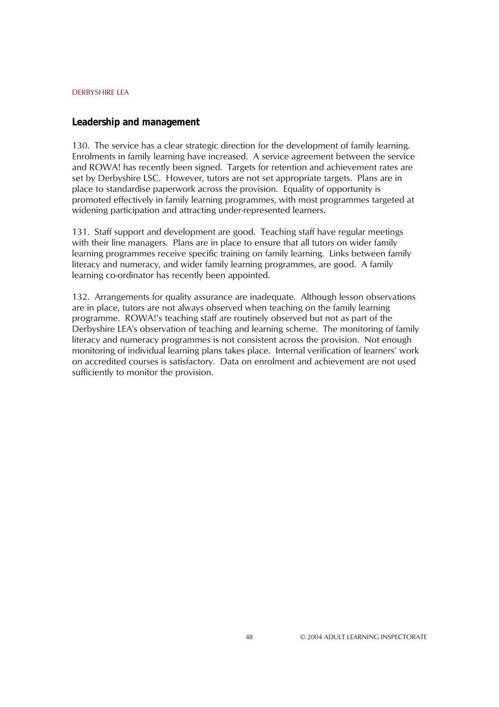#### **Leadership and management**

130. The service has a clear strategic direction for the development of family learning. Enrolments in family learning have increased. A service agreement between the service and ROWA! has recently been signed. Targets for retention and achievement rates are set by Derbyshire LSC. However, tutors are not set appropriate targets. Plans are in place to standardise paperwork across the provision. Equality of opportunity is promoted effectively in family learning programmes, with most programmes targeted at widening participation and attracting under-represented learners.

131. Staff support and development are good. Teaching staff have regular meetings with their line managers. Plans are in place to ensure that all tutors on wider family learning programmes receive specific training on family learning. Links between family literacy and numeracy, and wider family learning programmes, are good. A family learning co-ordinator has recently been appointed.

132. Arrangements for quality assurance are inadequate. Although lesson observations are in place, tutors are not always observed when teaching on the family learning programme. ROWA!ís teaching staff are routinely observed but not as part of the Derbyshire LEA's observation of teaching and learning scheme. The monitoring of family literacy and numeracy programmes is not consistent across the provision. Not enough monitoring of individual learning plans takes place. Internal verification of learners' work on accredited courses is satisfactory. Data on enrolment and achievement are not used sufficiently to monitor the provision.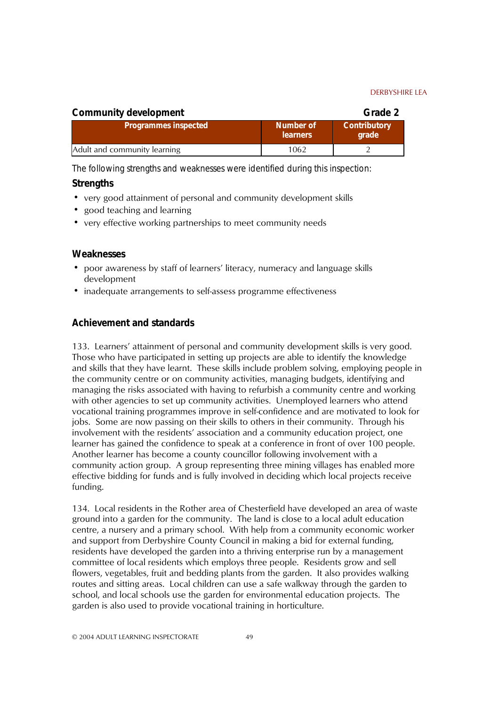| <b>Community development</b> |                              | Grade 2                      |
|------------------------------|------------------------------|------------------------------|
| <b>Programmes inspected</b>  | Number of<br><b>learners</b> | <b>Contributory</b><br>grade |
| Adult and community learning | 1062                         |                              |

*The following strengths and weaknesses were identified during this inspection:*

### **Strengths**

- ! very good attainment of personal and community development skills
- good teaching and learning
- ! very effective working partnerships to meet community needs

### **Weaknesses**

- poor awareness by staff of learners' literacy, numeracy and language skills development
- inadequate arrangements to self-assess programme effectiveness

### **Achievement and standards**

133. Learnersí attainment of personal and community development skills is very good. Those who have participated in setting up projects are able to identify the knowledge and skills that they have learnt. These skills include problem solving, employing people in the community centre or on community activities, managing budgets, identifying and managing the risks associated with having to refurbish a community centre and working with other agencies to set up community activities. Unemployed learners who attend vocational training programmes improve in self-confidence and are motivated to look for jobs. Some are now passing on their skills to others in their community. Through his involvement with the residentsí association and a community education project, one learner has gained the confidence to speak at a conference in front of over 100 people. Another learner has become a county councillor following involvement with a community action group. A group representing three mining villages has enabled more effective bidding for funds and is fully involved in deciding which local projects receive funding.

134. Local residents in the Rother area of Chesterfield have developed an area of waste ground into a garden for the community. The land is close to a local adult education centre, a nursery and a primary school. With help from a community economic worker and support from Derbyshire County Council in making a bid for external funding, residents have developed the garden into a thriving enterprise run by a management committee of local residents which employs three people. Residents grow and sell flowers, vegetables, fruit and bedding plants from the garden. It also provides walking routes and sitting areas. Local children can use a safe walkway through the garden to school, and local schools use the garden for environmental education projects. The garden is also used to provide vocational training in horticulture.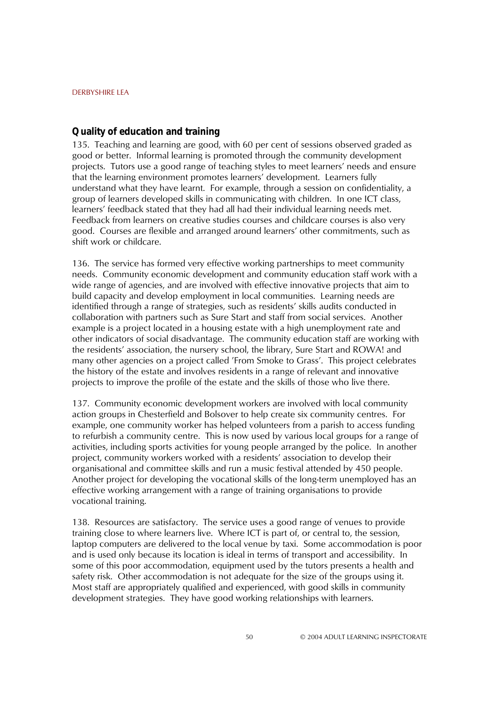### **Quality of education and training**

135. Teaching and learning are good, with 60 per cent of sessions observed graded as good or better. Informal learning is promoted through the community development projects. Tutors use a good range of teaching styles to meet learners' needs and ensure that the learning environment promotes learnersí development. Learners fully understand what they have learnt. For example, through a session on confidentiality, a group of learners developed skills in communicating with children. In one ICT class, learnersí feedback stated that they had all had their individual learning needs met. Feedback from learners on creative studies courses and childcare courses is also very good. Courses are flexible and arranged around learnersí other commitments, such as shift work or childcare.

136. The service has formed very effective working partnerships to meet community needs. Community economic development and community education staff work with a wide range of agencies, and are involved with effective innovative projects that aim to build capacity and develop employment in local communities. Learning needs are identified through a range of strategies, such as residentsí skills audits conducted in collaboration with partners such as Sure Start and staff from social services. Another example is a project located in a housing estate with a high unemployment rate and other indicators of social disadvantage. The community education staff are working with the residentsí association, the nursery school, the library, Sure Start and ROWA! and many other agencies on a project called *'From Smoke to Grass'*. This project celebrates the history of the estate and involves residents in a range of relevant and innovative projects to improve the profile of the estate and the skills of those who live there.

137. Community economic development workers are involved with local community action groups in Chesterfield and Bolsover to help create six community centres. For example, one community worker has helped volunteers from a parish to access funding to refurbish a community centre. This is now used by various local groups for a range of activities, including sports activities for young people arranged by the police. In another project, community workers worked with a residentsí association to develop their organisational and committee skills and run a music festival attended by 450 people. Another project for developing the vocational skills of the long-term unemployed has an effective working arrangement with a range of training organisations to provide vocational training.

138. Resources are satisfactory. The service uses a good range of venues to provide training close to where learners live. Where ICT is part of, or central to, the session, laptop computers are delivered to the local venue by taxi. Some accommodation is poor and is used only because its location is ideal in terms of transport and accessibility. In some of this poor accommodation, equipment used by the tutors presents a health and safety risk. Other accommodation is not adequate for the size of the groups using it. Most staff are appropriately qualified and experienced, with good skills in community development strategies. They have good working relationships with learners.